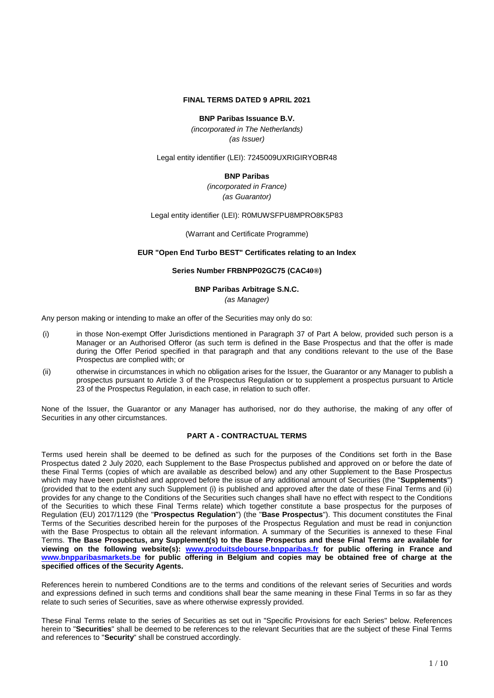#### **FINAL TERMS DATED 9 APRIL 2021**

#### **BNP Paribas Issuance B.V.**

*(incorporated in The Netherlands) (as Issuer)*

Legal entity identifier (LEI): 7245009UXRIGIRYOBR48

#### **BNP Paribas**

*(incorporated in France) (as Guarantor)*

#### Legal entity identifier (LEI): R0MUWSFPU8MPRO8K5P83

(Warrant and Certificate Programme)

#### **EUR "Open End Turbo BEST" Certificates relating to an Index**

#### **Series Number FRBNPP02GC75 (CAC40®)**

## **BNP Paribas Arbitrage S.N.C.**

*(as Manager)*

Any person making or intending to make an offer of the Securities may only do so:

- (i) in those Non-exempt Offer Jurisdictions mentioned in Paragraph 37 of Part A below, provided such person is a Manager or an Authorised Offeror (as such term is defined in the Base Prospectus and that the offer is made during the Offer Period specified in that paragraph and that any conditions relevant to the use of the Base Prospectus are complied with; or
- (ii) otherwise in circumstances in which no obligation arises for the Issuer, the Guarantor or any Manager to publish a prospectus pursuant to Article 3 of the Prospectus Regulation or to supplement a prospectus pursuant to Article 23 of the Prospectus Regulation, in each case, in relation to such offer.

None of the Issuer, the Guarantor or any Manager has authorised, nor do they authorise, the making of any offer of Securities in any other circumstances.

#### **PART A - CONTRACTUAL TERMS**

Terms used herein shall be deemed to be defined as such for the purposes of the Conditions set forth in the Base Prospectus dated 2 July 2020, each Supplement to the Base Prospectus published and approved on or before the date of these Final Terms (copies of which are available as described below) and any other Supplement to the Base Prospectus which may have been published and approved before the issue of any additional amount of Securities (the "**Supplements**") (provided that to the extent any such Supplement (i) is published and approved after the date of these Final Terms and (ii) provides for any change to the Conditions of the Securities such changes shall have no effect with respect to the Conditions of the Securities to which these Final Terms relate) which together constitute a base prospectus for the purposes of Regulation (EU) 2017/1129 (the "**Prospectus Regulation**") (the "**Base Prospectus**"). This document constitutes the Final Terms of the Securities described herein for the purposes of the Prospectus Regulation and must be read in conjunction with the Base Prospectus to obtain all the relevant information. A summary of the Securities is annexed to these Final Terms. **The Base Prospectus, any Supplement(s) to the Base Prospectus and these Final Terms are available for viewing on the following website(s): www.produitsdebourse.bnpparibas.fr for public offering in France and www.bnpparibasmarkets.be for public offering in Belgium and copies may be obtained free of charge at the specified offices of the Security Agents.**

References herein to numbered Conditions are to the terms and conditions of the relevant series of Securities and words and expressions defined in such terms and conditions shall bear the same meaning in these Final Terms in so far as they relate to such series of Securities, save as where otherwise expressly provided.

These Final Terms relate to the series of Securities as set out in "Specific Provisions for each Series" below. References herein to "**Securities**" shall be deemed to be references to the relevant Securities that are the subject of these Final Terms and references to "**Security**" shall be construed accordingly.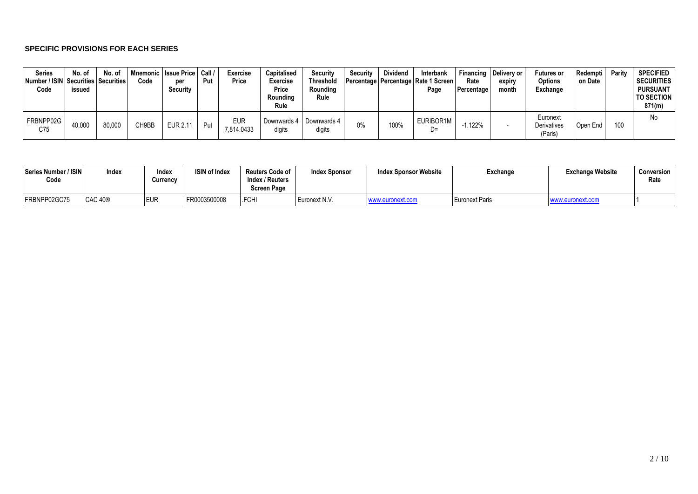#### **SPECIFIC PROVISIONS FOR EACH SERIES**

| <b>Series</b><br>Number / ISIN Securities Securities<br>Code | No. of<br>issued | No. of | Code  | Inemonic   Issue Price   Call /<br>per<br>Security | Put | <b>Exercise</b><br>Price | Capitalised<br><b>Exercise</b><br>Price<br>Roundina<br>Rule | <b>Security</b><br><b>Threshold</b><br>Roundina<br>Rule | Security | <b>Dividend</b> | Interbank<br>  Percentage   Percentage   Rate 1 Screen  <br>Page | Rate<br><b>Percentage</b> | Financing   Delivery or<br>expiry<br>month | <b>Futures or</b><br><b>Options</b><br>Exchange | Redempti<br>on Date | Parity | <b>SPECIFIED</b><br><b>SECURITIES</b><br><b>PURSUANT</b><br><b>TO SECTION</b><br>871(m) |
|--------------------------------------------------------------|------------------|--------|-------|----------------------------------------------------|-----|--------------------------|-------------------------------------------------------------|---------------------------------------------------------|----------|-----------------|------------------------------------------------------------------|---------------------------|--------------------------------------------|-------------------------------------------------|---------------------|--------|-----------------------------------------------------------------------------------------|
| FRBNPP02G<br>C75                                             | 40,000           | 80,000 | CH9BB | EUR 2.11                                           | Put | <b>EUR</b><br>7,814.0433 | digits                                                      | Downwards 4   Downwards 4<br>digits                     | 0%       | 100%            | EURIBOR1M<br>D=                                                  | .122%                     |                                            | Euronext<br><b>Derivatives</b><br>(Paris)       | Open End            | 100    | No                                                                                      |

| Series Number / ISIN<br>Code | Index          | Index<br>Currency | <b>ISIN of Index</b> | <b>Reuters Code of</b><br>Index / Reuters<br><b>Screen Page</b> | <b>Index Sponsor</b> | <b>Index Sponsor Website</b> | Exchange       | <b>Exchange Website</b> | Conversion<br>Rate |
|------------------------------|----------------|-------------------|----------------------|-----------------------------------------------------------------|----------------------|------------------------------|----------------|-------------------------|--------------------|
| FRBNPP02GC75                 | <b>CAC 40®</b> | <b>EUR</b>        | FR0003500008         | .FCHI                                                           | Euronext N.V.        | www.euronext.com             | Euronext Paris | www.euronext.com        |                    |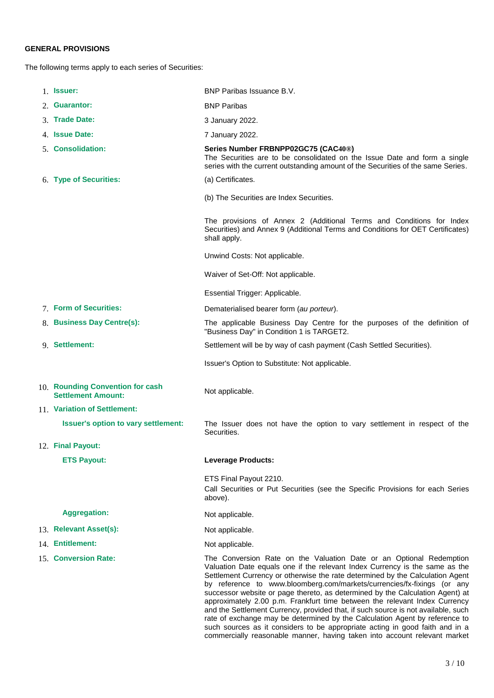## **GENERAL PROVISIONS**

The following terms apply to each series of Securities:

|                                                                         | 1. <b>Issuer:</b>                                             | BNP Paribas Issuance B.V.                                                                                                                                                                                                                                                                                                                                                                                                                                                                                                                                                                                                                                                                                                                                                                                      |  |  |  |  |  |
|-------------------------------------------------------------------------|---------------------------------------------------------------|----------------------------------------------------------------------------------------------------------------------------------------------------------------------------------------------------------------------------------------------------------------------------------------------------------------------------------------------------------------------------------------------------------------------------------------------------------------------------------------------------------------------------------------------------------------------------------------------------------------------------------------------------------------------------------------------------------------------------------------------------------------------------------------------------------------|--|--|--|--|--|
|                                                                         | 2. Guarantor:                                                 | <b>BNP Paribas</b>                                                                                                                                                                                                                                                                                                                                                                                                                                                                                                                                                                                                                                                                                                                                                                                             |  |  |  |  |  |
|                                                                         | 3. Trade Date:                                                | 3 January 2022.                                                                                                                                                                                                                                                                                                                                                                                                                                                                                                                                                                                                                                                                                                                                                                                                |  |  |  |  |  |
|                                                                         | 4. Issue Date:                                                | 7 January 2022.                                                                                                                                                                                                                                                                                                                                                                                                                                                                                                                                                                                                                                                                                                                                                                                                |  |  |  |  |  |
|                                                                         | 5. Consolidation:                                             | Series Number FRBNPP02GC75 (CAC40®)<br>The Securities are to be consolidated on the Issue Date and form a single<br>series with the current outstanding amount of the Securities of the same Series.                                                                                                                                                                                                                                                                                                                                                                                                                                                                                                                                                                                                           |  |  |  |  |  |
|                                                                         | 6. Type of Securities:                                        | (a) Certificates.                                                                                                                                                                                                                                                                                                                                                                                                                                                                                                                                                                                                                                                                                                                                                                                              |  |  |  |  |  |
|                                                                         |                                                               | (b) The Securities are Index Securities.                                                                                                                                                                                                                                                                                                                                                                                                                                                                                                                                                                                                                                                                                                                                                                       |  |  |  |  |  |
|                                                                         |                                                               | The provisions of Annex 2 (Additional Terms and Conditions for Index<br>Securities) and Annex 9 (Additional Terms and Conditions for OET Certificates)<br>shall apply.                                                                                                                                                                                                                                                                                                                                                                                                                                                                                                                                                                                                                                         |  |  |  |  |  |
|                                                                         |                                                               | Unwind Costs: Not applicable.                                                                                                                                                                                                                                                                                                                                                                                                                                                                                                                                                                                                                                                                                                                                                                                  |  |  |  |  |  |
|                                                                         |                                                               | Waiver of Set-Off: Not applicable.                                                                                                                                                                                                                                                                                                                                                                                                                                                                                                                                                                                                                                                                                                                                                                             |  |  |  |  |  |
|                                                                         |                                                               | Essential Trigger: Applicable.                                                                                                                                                                                                                                                                                                                                                                                                                                                                                                                                                                                                                                                                                                                                                                                 |  |  |  |  |  |
|                                                                         | 7. Form of Securities:                                        | Dematerialised bearer form (au porteur).                                                                                                                                                                                                                                                                                                                                                                                                                                                                                                                                                                                                                                                                                                                                                                       |  |  |  |  |  |
| 8. Business Day Centre(s):<br>"Business Day" in Condition 1 is TARGET2. |                                                               | The applicable Business Day Centre for the purposes of the definition of                                                                                                                                                                                                                                                                                                                                                                                                                                                                                                                                                                                                                                                                                                                                       |  |  |  |  |  |
|                                                                         | 9. Settlement:                                                | Settlement will be by way of cash payment (Cash Settled Securities).                                                                                                                                                                                                                                                                                                                                                                                                                                                                                                                                                                                                                                                                                                                                           |  |  |  |  |  |
|                                                                         |                                                               | Issuer's Option to Substitute: Not applicable.                                                                                                                                                                                                                                                                                                                                                                                                                                                                                                                                                                                                                                                                                                                                                                 |  |  |  |  |  |
|                                                                         | 10. Rounding Convention for cash<br><b>Settlement Amount:</b> | Not applicable.                                                                                                                                                                                                                                                                                                                                                                                                                                                                                                                                                                                                                                                                                                                                                                                                |  |  |  |  |  |
|                                                                         | 11. Variation of Settlement:                                  |                                                                                                                                                                                                                                                                                                                                                                                                                                                                                                                                                                                                                                                                                                                                                                                                                |  |  |  |  |  |
|                                                                         | <b>Issuer's option to vary settlement:</b>                    | The Issuer does not have the option to vary settlement in respect of the<br>Securities.                                                                                                                                                                                                                                                                                                                                                                                                                                                                                                                                                                                                                                                                                                                        |  |  |  |  |  |
|                                                                         | 12. Final Payout:                                             |                                                                                                                                                                                                                                                                                                                                                                                                                                                                                                                                                                                                                                                                                                                                                                                                                |  |  |  |  |  |
|                                                                         | <b>ETS Payout:</b>                                            | <b>Leverage Products:</b>                                                                                                                                                                                                                                                                                                                                                                                                                                                                                                                                                                                                                                                                                                                                                                                      |  |  |  |  |  |
|                                                                         |                                                               | ETS Final Payout 2210.<br>Call Securities or Put Securities (see the Specific Provisions for each Series<br>above).                                                                                                                                                                                                                                                                                                                                                                                                                                                                                                                                                                                                                                                                                            |  |  |  |  |  |
|                                                                         | <b>Aggregation:</b>                                           | Not applicable.                                                                                                                                                                                                                                                                                                                                                                                                                                                                                                                                                                                                                                                                                                                                                                                                |  |  |  |  |  |
|                                                                         | 13. Relevant Asset(s):                                        | Not applicable.                                                                                                                                                                                                                                                                                                                                                                                                                                                                                                                                                                                                                                                                                                                                                                                                |  |  |  |  |  |
|                                                                         | 14. Entitlement:                                              | Not applicable.                                                                                                                                                                                                                                                                                                                                                                                                                                                                                                                                                                                                                                                                                                                                                                                                |  |  |  |  |  |
|                                                                         | 15. Conversion Rate:                                          | The Conversion Rate on the Valuation Date or an Optional Redemption<br>Valuation Date equals one if the relevant Index Currency is the same as the<br>Settlement Currency or otherwise the rate determined by the Calculation Agent<br>by reference to www.bloomberg.com/markets/currencies/fx-fixings (or any<br>successor website or page thereto, as determined by the Calculation Agent) at<br>approximately 2.00 p.m. Frankfurt time between the relevant Index Currency<br>and the Settlement Currency, provided that, if such source is not available, such<br>rate of exchange may be determined by the Calculation Agent by reference to<br>such sources as it considers to be appropriate acting in good faith and in a<br>commercially reasonable manner, having taken into account relevant market |  |  |  |  |  |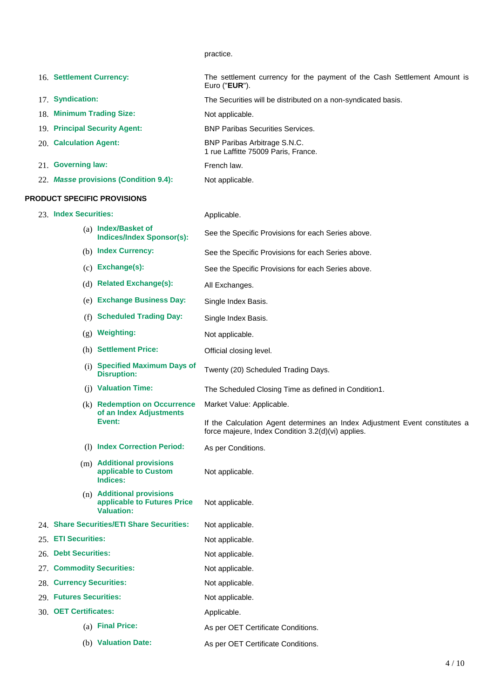practice.

| 16. Settlement Currency:                                                      | The settlement currency for the payment of the Cash Settlement Amount is<br>Euro (" $EUR$ ").                                     |  |  |  |  |
|-------------------------------------------------------------------------------|-----------------------------------------------------------------------------------------------------------------------------------|--|--|--|--|
| 17. Syndication:                                                              | The Securities will be distributed on a non-syndicated basis.                                                                     |  |  |  |  |
| 18. Minimum Trading Size:                                                     | Not applicable.                                                                                                                   |  |  |  |  |
| 19. Principal Security Agent:                                                 | <b>BNP Paribas Securities Services.</b>                                                                                           |  |  |  |  |
| 20. Calculation Agent:                                                        | BNP Paribas Arbitrage S.N.C.<br>1 rue Laffitte 75009 Paris, France.                                                               |  |  |  |  |
| 21. Governing law:                                                            | French law.                                                                                                                       |  |  |  |  |
| 22. Masse provisions (Condition 9.4):                                         | Not applicable.                                                                                                                   |  |  |  |  |
| <b>PRODUCT SPECIFIC PROVISIONS</b>                                            |                                                                                                                                   |  |  |  |  |
| 23. Index Securities:                                                         | Applicable.                                                                                                                       |  |  |  |  |
| (a) Index/Basket of<br><b>Indices/Index Sponsor(s):</b>                       | See the Specific Provisions for each Series above.                                                                                |  |  |  |  |
| (b) Index Currency:                                                           | See the Specific Provisions for each Series above.                                                                                |  |  |  |  |
| $(c)$ Exchange(s):                                                            | See the Specific Provisions for each Series above.                                                                                |  |  |  |  |
| (d) Related Exchange(s):                                                      | All Exchanges.                                                                                                                    |  |  |  |  |
| (e) Exchange Business Day:                                                    | Single Index Basis.                                                                                                               |  |  |  |  |
| <b>Scheduled Trading Day:</b><br>(f)                                          | Single Index Basis.                                                                                                               |  |  |  |  |
| <b>Weighting:</b><br>(g)                                                      | Not applicable.                                                                                                                   |  |  |  |  |
| (h) Settlement Price:                                                         | Official closing level.                                                                                                           |  |  |  |  |
| (i) Specified Maximum Days of<br><b>Disruption:</b>                           | Twenty (20) Scheduled Trading Days.                                                                                               |  |  |  |  |
| (j) Valuation Time:                                                           | The Scheduled Closing Time as defined in Condition1.                                                                              |  |  |  |  |
| (k) Redemption on Occurrence                                                  | Market Value: Applicable.                                                                                                         |  |  |  |  |
| of an Index Adjustments<br>Event:                                             | If the Calculation Agent determines an Index Adjustment Event constitutes a<br>force majeure, Index Condition 3.2(d)(vi) applies. |  |  |  |  |
| (1) Index Correction Period:                                                  | As per Conditions.                                                                                                                |  |  |  |  |
| (m) Additional provisions<br>applicable to Custom<br>Indices:                 | Not applicable.                                                                                                                   |  |  |  |  |
| (n) Additional provisions<br>applicable to Futures Price<br><b>Valuation:</b> | Not applicable.                                                                                                                   |  |  |  |  |
| 24. Share Securities/ETI Share Securities:                                    | Not applicable.                                                                                                                   |  |  |  |  |
| 25. ETI Securities:                                                           | Not applicable.                                                                                                                   |  |  |  |  |
| 26. Debt Securities:                                                          | Not applicable.                                                                                                                   |  |  |  |  |
| 27. Commodity Securities:                                                     | Not applicable.                                                                                                                   |  |  |  |  |
| 28. Currency Securities:                                                      | Not applicable.                                                                                                                   |  |  |  |  |
| 29. Futures Securities:                                                       | Not applicable.                                                                                                                   |  |  |  |  |
| 30. OET Certificates:                                                         | Applicable.                                                                                                                       |  |  |  |  |
| (a) Final Price:                                                              | As per OET Certificate Conditions.                                                                                                |  |  |  |  |
| (b) Valuation Date:                                                           | As per OET Certificate Conditions.                                                                                                |  |  |  |  |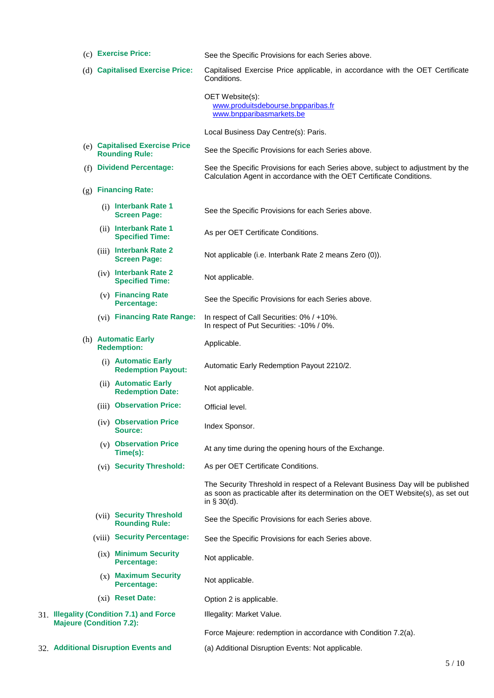- (c) **Exercise Price:** See the Specific Provisions for each Series above. (d) **Capitalised Exercise Price:** Capitalised Exercise Price applicable, in accordance with the OET Certificate Conditions. OET Website(s): www.produitsdebourse.bnpparibas.fr www.bnpparibasmarkets.be Local Business Day Centre(s): Paris. (e) **Capitalised Exercise Price**  See the Specific Provisions for each Series above. (f) **Dividend Percentage:** See the Specific Provisions for each Series above, subject to adjustment by the Calculation Agent in accordance with the OET Certificate Conditions. (g) **Financing Rate:** (i) **Interbank Rate 1**  See the Specific Provisions for each Series above. (ii) **Interbank Rate 1**  As per OET Certificate Conditions. (iii) **Interbank Rate 2**  Not applicable (i.e. Interbank Rate 2 means Zero (0)). (iv) **Interbank Rate 2 Specified Time:** Not applicable. (v) **Financing Rate**  See the Specific Provisions for each Series above. (vi) **Financing Rate Range:** In respect of Call Securities: 0% / +10%. In respect of Put Securities: -10% / 0%. (h) **Automatic Early Redemption:** Applicable. (i) **Automatic Early Redemption Payout:** Automatic Early Redemption Payout 2210/2. (ii) **Automatic Early Redemption Date:** Not applicable. (iii) **Observation Price:** Official level. (iv) **Observation Price Index Sponsor.** (v) **Observation Price**  At any time during the opening hours of the Exchange. (vi) **Security Threshold:** As per OET Certificate Conditions. The Security Threshold in respect of a Relevant Business Day will be published as soon as practicable after its determination on the OET Website(s), as set out in § 30(d). (vii) **Security Threshold**  See the Specific Provisions for each Series above. (viii) Security Percentage: See the Specific Provisions for each Series above. (ix) **Minimum Security Percentage:** Not applicable. (x) **Maximum Security**  Not applicable. (xi) **Reset Date:** Option 2 is applicable. 31. **Illegality (Condition 7.1) and Force Majeure (Condition 7.2):** Illegality: Market Value. Force Majeure: redemption in accordance with Condition 7.2(a).
- 32. **Additional Disruption Events and** (a) Additional Disruption Events: Not applicable.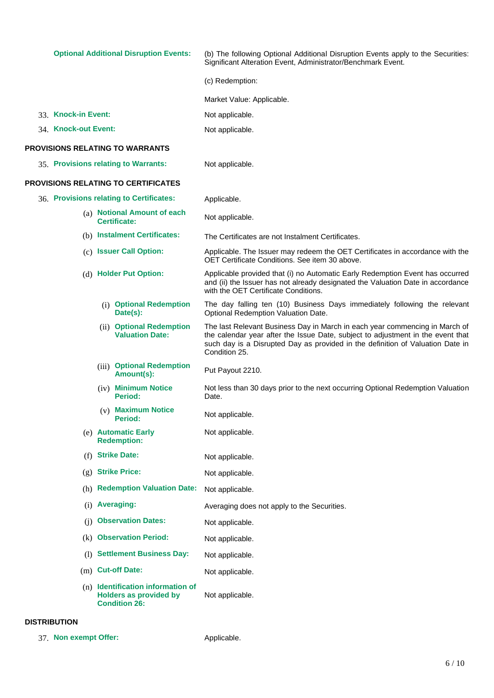**Optional Additional Disruption Events:** (b) The following Optional Additional Disruption Events apply to the Securities: Significant Alteration Event, Administrator/Benchmark Event.

(c) Redemption:

Market Value: Applicable.

33. Knock-in Event: Not applicable.

34. **Knock-out Event:** Not applicable.

#### **PROVISIONS RELATING TO WARRANTS**

| 35. Provisions relating to Warrants: | Not applicable. |
|--------------------------------------|-----------------|
|                                      |                 |

#### **PROVISIONS RELATING TO CERTIFICATES**

| 36. Provisions relating to Certificates: |                        |                                                                                              | Applicable.                                                                                                                                                                                                                                                       |  |  |  |  |
|------------------------------------------|------------------------|----------------------------------------------------------------------------------------------|-------------------------------------------------------------------------------------------------------------------------------------------------------------------------------------------------------------------------------------------------------------------|--|--|--|--|
|                                          |                        | (a) Notional Amount of each<br><b>Certificate:</b>                                           | Not applicable.                                                                                                                                                                                                                                                   |  |  |  |  |
|                                          |                        | (b) Instalment Certificates:                                                                 | The Certificates are not Instalment Certificates.                                                                                                                                                                                                                 |  |  |  |  |
| (c) Issuer Call Option:                  |                        |                                                                                              | Applicable. The Issuer may redeem the OET Certificates in accordance with the<br>OET Certificate Conditions. See item 30 above.                                                                                                                                   |  |  |  |  |
|                                          | (d) Holder Put Option: |                                                                                              | Applicable provided that (i) no Automatic Early Redemption Event has occurred<br>and (ii) the Issuer has not already designated the Valuation Date in accordance<br>with the OET Certificate Conditions.                                                          |  |  |  |  |
|                                          |                        | (i) Optional Redemption<br>Date(s):                                                          | The day falling ten (10) Business Days immediately following the relevant<br>Optional Redemption Valuation Date.                                                                                                                                                  |  |  |  |  |
|                                          |                        | (ii) Optional Redemption<br><b>Valuation Date:</b>                                           | The last Relevant Business Day in March in each year commencing in March of<br>the calendar year after the Issue Date, subject to adjustment in the event that<br>such day is a Disrupted Day as provided in the definition of Valuation Date in<br>Condition 25. |  |  |  |  |
|                                          |                        | (iii) Optional Redemption<br>Amount(s):                                                      | Put Payout 2210.                                                                                                                                                                                                                                                  |  |  |  |  |
|                                          |                        | (iv) Minimum Notice<br>Period:                                                               | Not less than 30 days prior to the next occurring Optional Redemption Valuation<br>Date.                                                                                                                                                                          |  |  |  |  |
|                                          |                        | (v) Maximum Notice<br><b>Period:</b>                                                         | Not applicable.                                                                                                                                                                                                                                                   |  |  |  |  |
|                                          |                        | (e) Automatic Early<br><b>Redemption:</b>                                                    | Not applicable.                                                                                                                                                                                                                                                   |  |  |  |  |
|                                          |                        | (f) Strike Date:                                                                             | Not applicable.                                                                                                                                                                                                                                                   |  |  |  |  |
|                                          |                        | (g) Strike Price:                                                                            | Not applicable.                                                                                                                                                                                                                                                   |  |  |  |  |
|                                          |                        | (h) Redemption Valuation Date:                                                               | Not applicable.                                                                                                                                                                                                                                                   |  |  |  |  |
|                                          |                        | $(i)$ Averaging:                                                                             | Averaging does not apply to the Securities.                                                                                                                                                                                                                       |  |  |  |  |
| (i)                                      |                        | <b>Observation Dates:</b>                                                                    | Not applicable.                                                                                                                                                                                                                                                   |  |  |  |  |
|                                          |                        | (k) Observation Period:                                                                      | Not applicable.                                                                                                                                                                                                                                                   |  |  |  |  |
| (1)                                      |                        | <b>Settlement Business Day:</b>                                                              | Not applicable.                                                                                                                                                                                                                                                   |  |  |  |  |
|                                          |                        | (m) Cut-off Date:                                                                            | Not applicable.                                                                                                                                                                                                                                                   |  |  |  |  |
|                                          |                        | $(n)$ Identification information of<br><b>Holders as provided by</b><br><b>Condition 26:</b> | Not applicable.                                                                                                                                                                                                                                                   |  |  |  |  |

#### **DISTRIBUTION**

37. Non exempt Offer: Applicable.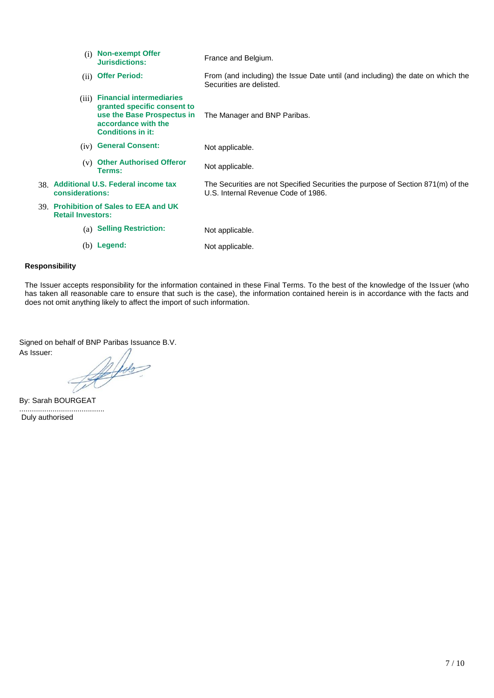| (i)                      | <b>Non-exempt Offer</b><br>Jurisdictions:                                                                                                       | France and Belgium.                                                                                                     |
|--------------------------|-------------------------------------------------------------------------------------------------------------------------------------------------|-------------------------------------------------------------------------------------------------------------------------|
| (ii)                     | <b>Offer Period:</b>                                                                                                                            | From (and including) the Issue Date until (and including) the date on which the<br>Securities are delisted.             |
| (iii)                    | <b>Financial intermediaries</b><br>granted specific consent to<br>use the Base Prospectus in<br>accordance with the<br><b>Conditions in it:</b> | The Manager and BNP Paribas.                                                                                            |
| (iv)                     | <b>General Consent:</b>                                                                                                                         | Not applicable.                                                                                                         |
| (v)                      | <b>Other Authorised Offeror</b><br><b>Terms:</b>                                                                                                | Not applicable.                                                                                                         |
| considerations:          | 38. Additional U.S. Federal income tax                                                                                                          | The Securities are not Specified Securities the purpose of Section 871(m) of the<br>U.S. Internal Revenue Code of 1986. |
| <b>Retail Investors:</b> | 39. Prohibition of Sales to EEA and UK                                                                                                          |                                                                                                                         |
| (a)                      | <b>Selling Restriction:</b>                                                                                                                     | Not applicable.                                                                                                         |
|                          | $(b)$ Legend:                                                                                                                                   | Not applicable.                                                                                                         |

#### **Responsibility**

The Issuer accepts responsibility for the information contained in these Final Terms. To the best of the knowledge of the Issuer (who has taken all reasonable care to ensure that such is the case), the information contained herein is in accordance with the facts and does not omit anything likely to affect the import of such information.

Signed on behalf of BNP Paribas Issuance B.V.

As Issuer:

Alis

By: Sarah BOURGEAT

......................................... Duly authorised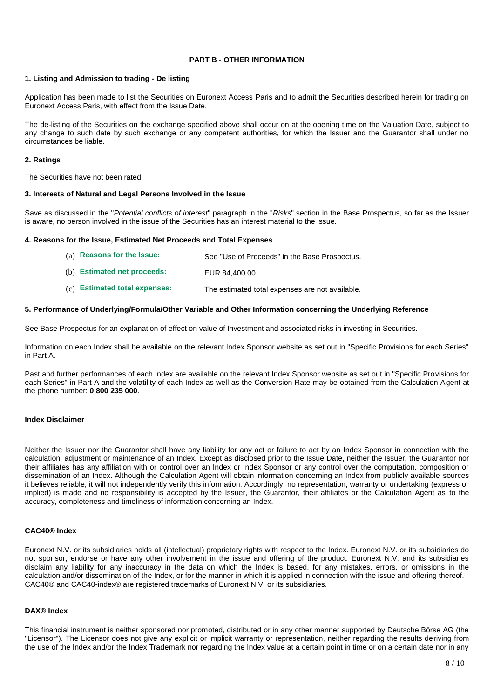#### **PART B - OTHER INFORMATION**

#### **1. Listing and Admission to trading - De listing**

Application has been made to list the Securities on Euronext Access Paris and to admit the Securities described herein for trading on Euronext Access Paris, with effect from the Issue Date.

The de-listing of the Securities on the exchange specified above shall occur on at the opening time on the Valuation Date, subject to any change to such date by such exchange or any competent authorities, for which the Issuer and the Guarantor shall under no circumstances be liable.

#### **2. Ratings**

The Securities have not been rated.

#### **3. Interests of Natural and Legal Persons Involved in the Issue**

Save as discussed in the "*Potential conflicts of interest*" paragraph in the "*Risks*" section in the Base Prospectus, so far as the Issuer is aware, no person involved in the issue of the Securities has an interest material to the issue.

#### **4. Reasons for the Issue, Estimated Net Proceeds and Total Expenses**

| (a) Reasons for the Issue:  | See "Use of Proceeds" in the Base Prospectus. |
|-----------------------------|-----------------------------------------------|
| (b) Estimated net proceeds: | EUR 84.400.00                                 |

(c) **Estimated total expenses:** The estimated total expenses are not available.

#### **5. Performance of Underlying/Formula/Other Variable and Other Information concerning the Underlying Reference**

See Base Prospectus for an explanation of effect on value of Investment and associated risks in investing in Securities.

Information on each Index shall be available on the relevant Index Sponsor website as set out in "Specific Provisions for each Series" in Part A.

Past and further performances of each Index are available on the relevant Index Sponsor website as set out in "Specific Provisions for each Series" in Part A and the volatility of each Index as well as the Conversion Rate may be obtained from the Calculation Agent at the phone number: **0 800 235 000**.

#### **Index Disclaimer**

Neither the Issuer nor the Guarantor shall have any liability for any act or failure to act by an Index Sponsor in connection with the calculation, adjustment or maintenance of an Index. Except as disclosed prior to the Issue Date, neither the Issuer, the Guarantor nor their affiliates has any affiliation with or control over an Index or Index Sponsor or any control over the computation, composition or dissemination of an Index. Although the Calculation Agent will obtain information concerning an Index from publicly available sources it believes reliable, it will not independently verify this information. Accordingly, no representation, warranty or undertaking (express or implied) is made and no responsibility is accepted by the Issuer, the Guarantor, their affiliates or the Calculation Agent as to the accuracy, completeness and timeliness of information concerning an Index.

#### **CAC40® Index**

Euronext N.V. or its subsidiaries holds all (intellectual) proprietary rights with respect to the Index. Euronext N.V. or its subsidiaries do not sponsor, endorse or have any other involvement in the issue and offering of the product. Euronext N.V. and its subsidiaries disclaim any liability for any inaccuracy in the data on which the Index is based, for any mistakes, errors, or omissions in the calculation and/or dissemination of the Index, or for the manner in which it is applied in connection with the issue and offering thereof. CAC40® and CAC40-index® are registered trademarks of Euronext N.V. or its subsidiaries.

#### **DAX® Index**

This financial instrument is neither sponsored nor promoted, distributed or in any other manner supported by Deutsche Börse AG (the "Licensor"). The Licensor does not give any explicit or implicit warranty or representation, neither regarding the results deriving from the use of the Index and/or the Index Trademark nor regarding the Index value at a certain point in time or on a certain date nor in any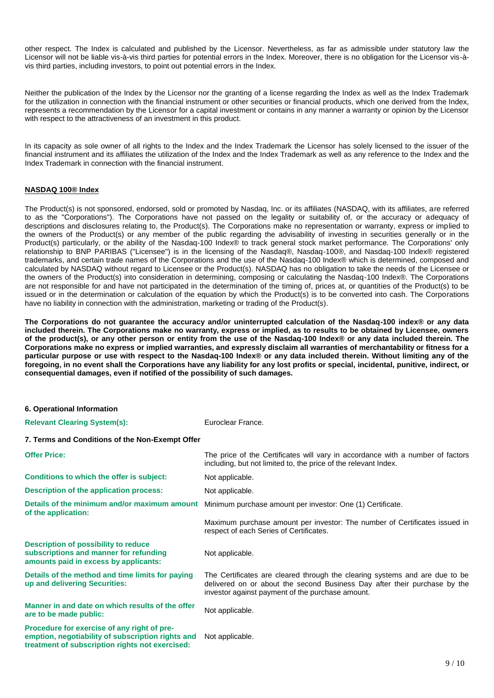other respect. The Index is calculated and published by the Licensor. Nevertheless, as far as admissible under statutory law the Licensor will not be liable vis-à-vis third parties for potential errors in the Index. Moreover, there is no obligation for the Licensor vis-àvis third parties, including investors, to point out potential errors in the Index.

Neither the publication of the Index by the Licensor nor the granting of a license regarding the Index as well as the Index Trademark for the utilization in connection with the financial instrument or other securities or financial products, which one derived from the Index, represents a recommendation by the Licensor for a capital investment or contains in any manner a warranty or opinion by the Licensor with respect to the attractiveness of an investment in this product.

In its capacity as sole owner of all rights to the Index and the Index Trademark the Licensor has solely licensed to the issuer of the financial instrument and its affiliates the utilization of the Index and the Index Trademark as well as any reference to the Index and the Index Trademark in connection with the financial instrument.

#### **NASDAQ 100® Index**

The Product(s) is not sponsored, endorsed, sold or promoted by Nasdaq, Inc. or its affiliates (NASDAQ, with its affiliates, are referred to as the "Corporations"). The Corporations have not passed on the legality or suitability of, or the accuracy or adequacy of descriptions and disclosures relating to, the Product(s). The Corporations make no representation or warranty, express or implied to the owners of the Product(s) or any member of the public regarding the advisability of investing in securities generally or in the Product(s) particularly, or the ability of the Nasdaq-100 Index® to track general stock market performance. The Corporations' only relationship to BNP PARIBAS ("Licensee") is in the licensing of the Nasdaq®, Nasdaq-100®, and Nasdaq-100 Index® registered trademarks, and certain trade names of the Corporations and the use of the Nasdaq-100 Index® which is determined, composed and calculated by NASDAQ without regard to Licensee or the Product(s). NASDAQ has no obligation to take the needs of the Licensee or the owners of the Product(s) into consideration in determining, composing or calculating the Nasdaq-100 Index®. The Corporations are not responsible for and have not participated in the determination of the timing of, prices at, or quantities of the Product(s) to be issued or in the determination or calculation of the equation by which the Product(s) is to be converted into cash. The Corporations have no liability in connection with the administration, marketing or trading of the Product(s).

**The Corporations do not guarantee the accuracy and/or uninterrupted calculation of the Nasdaq-100 index® or any data included therein. The Corporations make no warranty, express or implied, as to results to be obtained by Licensee, owners of the product(s), or any other person or entity from the use of the Nasdaq-100 Index® or any data included therein. The Corporations make no express or implied warranties, and expressly disclaim all warranties of merchantability or fitness for a particular purpose or use with respect to the Nasdaq-100 Index® or any data included therein. Without limiting any of the foregoing, in no event shall the Corporations have any liability for any lost profits or special, incidental, punitive, indirect, or consequential damages, even if notified of the possibility of such damages.**

#### **6. Operational Information Relevant Clearing System(s):** Euroclear France. **7. Terms and Conditions of the Non-Exempt Offer Offer Price:** The price of the Certificates will vary in accordance with a number of factors including, but not limited to, the price of the relevant Index. **Conditions to which the offer is subject:** Not applicable. **Description of the application process:** Not applicable. **Details of the minimum and/or maximum amount of the application:** Minimum purchase amount per investor: One (1) Certificate. Maximum purchase amount per investor: The number of Certificates issued in respect of each Series of Certificates. **Description of possibility to reduce subscriptions and manner for refunding amounts paid in excess by applicants:** Not applicable. **Details of the method and time limits for paying up and delivering Securities:** The Certificates are cleared through the clearing systems and are due to be delivered on or about the second Business Day after their purchase by the investor against payment of the purchase amount. **Manner in and date on which results of the offer Manner in and date on which results of the offer Mot applicable.**<br>are to be made public: **Procedure for exercise of any right of preemption, negotiability of subscription rights and treatment of subscription rights not exercised:** Not applicable.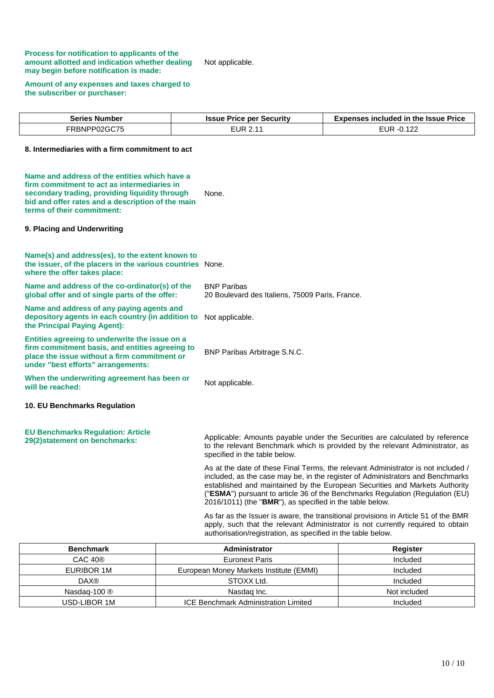#### **Process for notification to applicants of the amount allotted and indication whether dealing may begin before notification is made:**

Not applicable.

#### **Amount of any expenses and taxes charged to the subscriber or purchaser:**

| <b>Series Number</b> | <b>Issue Price per Security</b> | <b>Expenses included in the Issue Price</b> |
|----------------------|---------------------------------|---------------------------------------------|
| FRBNPP02GC75         | EUR 2.11                        | EUR -0.122                                  |

#### **8. Intermediaries with a firm commitment to act**

| Name and address of the entities which have a<br>firm commitment to act as intermediaries in<br>secondary trading, providing liquidity through<br>bid and offer rates and a description of the main<br>terms of their commitment: | None.                                                                                                                                                                                                                                                                                                                                                                                           |
|-----------------------------------------------------------------------------------------------------------------------------------------------------------------------------------------------------------------------------------|-------------------------------------------------------------------------------------------------------------------------------------------------------------------------------------------------------------------------------------------------------------------------------------------------------------------------------------------------------------------------------------------------|
| 9. Placing and Underwriting                                                                                                                                                                                                       |                                                                                                                                                                                                                                                                                                                                                                                                 |
| Name(s) and address(es), to the extent known to<br>the issuer, of the placers in the various countries None.<br>where the offer takes place:                                                                                      |                                                                                                                                                                                                                                                                                                                                                                                                 |
| Name and address of the co-ordinator(s) of the<br>global offer and of single parts of the offer:                                                                                                                                  | <b>BNP Paribas</b><br>20 Boulevard des Italiens, 75009 Paris, France.                                                                                                                                                                                                                                                                                                                           |
| Name and address of any paying agents and<br>depository agents in each country (in addition to<br>the Principal Paying Agent):                                                                                                    | Not applicable.                                                                                                                                                                                                                                                                                                                                                                                 |
| Entities agreeing to underwrite the issue on a<br>firm commitment basis, and entities agreeing to<br>place the issue without a firm commitment or<br>under "best efforts" arrangements:                                           | BNP Paribas Arbitrage S.N.C.                                                                                                                                                                                                                                                                                                                                                                    |
| When the underwriting agreement has been or<br>will be reached:                                                                                                                                                                   | Not applicable.                                                                                                                                                                                                                                                                                                                                                                                 |
| 10. EU Benchmarks Regulation                                                                                                                                                                                                      |                                                                                                                                                                                                                                                                                                                                                                                                 |
| <b>EU Benchmarks Regulation: Article</b><br>29(2) statement on benchmarks:                                                                                                                                                        | Applicable: Amounts payable under the Securities are calculated by reference<br>to the relevant Benchmark which is provided by the relevant Administrator, as<br>specified in the table below.                                                                                                                                                                                                  |
|                                                                                                                                                                                                                                   | As at the date of these Final Terms, the relevant Administrator is not included /<br>included, as the case may be, in the register of Administrators and Benchmarks<br>established and maintained by the European Securities and Markets Authority<br>("ESMA") pursuant to article 36 of the Benchmarks Regulation (Regulation (EU)<br>2016/1011) (the "BMR"), as specified in the table below. |
|                                                                                                                                                                                                                                   | As far as the Issuer is aware, the transitional provisions in Article 51 of the BMR<br>apply, such that the relevant Administrator is not currently required to obtain<br>authorisation/registration, as specified in the table below.                                                                                                                                                          |
|                                                                                                                                                                                                                                   |                                                                                                                                                                                                                                                                                                                                                                                                 |

| <b>Benchmark</b>       | Administrator                               | Register     |  |
|------------------------|---------------------------------------------|--------------|--|
| CAC 40 <sup>®</sup>    | Euronext Paris                              | Included     |  |
| EURIBOR 1M             | European Money Markets Institute (EMMI)     | Included     |  |
| <b>DAX®</b>            | STOXX Ltd.                                  | Included     |  |
| Nasdag-100 $\circledR$ | Nasdag Inc.                                 | Not included |  |
| USD-LIBOR 1M           | <b>ICE Benchmark Administration Limited</b> | Included     |  |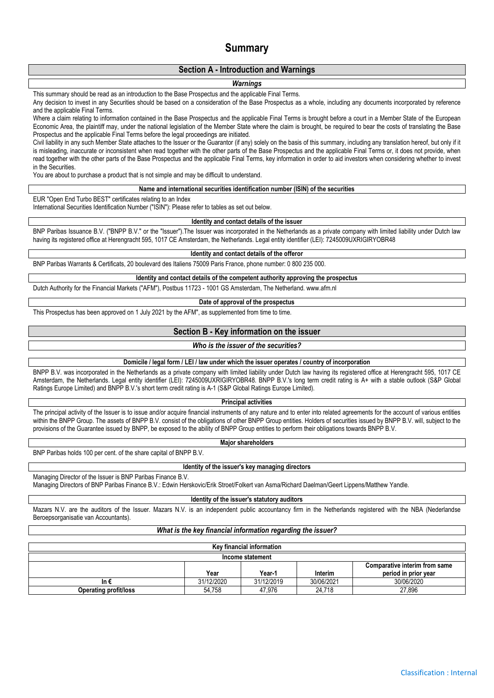## **Summary**

#### **Section A - Introduction and Warnings**

#### *Warnings*

This summary should be read as an introduction to the Base Prospectus and the applicable Final Terms.

Any decision to invest in any Securities should be based on a consideration of the Base Prospectus as a whole, including any documents incorporated by reference and the applicable Final Terms.

Where a claim relating to information contained in the Base Prospectus and the applicable Final Terms is brought before a court in a Member State of the European Economic Area, the plaintiff may, under the national legislation of the Member State where the claim is brought, be required to bear the costs of translating the Base Prospectus and the applicable Final Terms before the legal proceedings are initiated.

Civil liability in any such Member State attaches to the Issuer or the Guarantor (if any) solely on the basis of this summary, including any translation hereof, but only if it is misleading, inaccurate or inconsistent when read together with the other parts of the Base Prospectus and the applicable Final Terms or, it does not provide, when read together with the other parts of the Base Prospectus and the applicable Final Terms, key information in order to aid investors when considering whether to invest in the Securities.

You are about to purchase a product that is not simple and may be difficult to understand.

#### **Name and international securities identification number (ISIN) of the securities**

EUR "Open End Turbo BEST" certificates relating to an Index

International Securities Identification Number ("ISIN"): Please refer to tables as set out below.

#### **Identity and contact details of the issuer**

BNP Paribas Issuance B.V. ("BNPP B.V." or the "Issuer").The Issuer was incorporated in the Netherlands as a private company with limited liability under Dutch law having its registered office at Herengracht 595, 1017 CE Amsterdam, the Netherlands. Legal entity identifier (LEI): 7245009UXRIGIRYOBR48

**Identity and contact details of the offeror**

BNP Paribas Warrants & Certificats, 20 boulevard des Italiens 75009 Paris France, phone number: 0 800 235 000.

**Identity and contact details of the competent authority approving the prospectus**

Dutch Authority for the Financial Markets ("AFM"), Postbus 11723 - 1001 GS Amsterdam, The Netherland. www.afm.nl

#### **Date of approval of the prospectus**

This Prospectus has been approved on 1 July 2021 by the AFM", as supplemented from time to time.

#### **Section B - Key information on the issuer**

#### *Who is the issuer of the securities?*

#### **Domicile / legal form / LEI / law under which the issuer operates / country of incorporation**

BNPP B.V. was incorporated in the Netherlands as a private company with limited liability under Dutch law having its registered office at Herengracht 595, 1017 CE Amsterdam, the Netherlands. Legal entity identifier (LEI): 7245009UXRIGIRYOBR48. BNPP B.V.'s long term credit rating is A+ with a stable outlook (S&P Global Ratings Europe Limited) and BNPP B.V.'s short term credit rating is A-1 (S&P Global Ratings Europe Limited).

#### **Principal activities**

The principal activity of the Issuer is to issue and/or acquire financial instruments of any nature and to enter into related agreements for the account of various entities within the BNPP Group. The assets of BNPP B.V. consist of the obligations of other BNPP Group entities. Holders of securities issued by BNPP B.V. will, subject to the provisions of the Guarantee issued by BNPP, be exposed to the ability of BNPP Group entities to perform their obligations towards BNPP B.V.

#### **Major shareholders**

BNP Paribas holds 100 per cent. of the share capital of BNPP B.V.

#### **Identity of the issuer's key managing directors**

Managing Director of the Issuer is BNP Paribas Finance B.V.

Managing Directors of BNP Paribas Finance B.V.: Edwin Herskovic/Erik Stroet/Folkert van Asma/Richard Daelman/Geert Lippens/Matthew Yandle.

#### **Identity of the issuer's statutory auditors**

Mazars N.V. are the auditors of the Issuer. Mazars N.V. is an independent public accountancy firm in the Netherlands registered with the NBA (Nederlandse Beroepsorganisatie van Accountants).

#### *What is the key financial information regarding the issuer?*

| Key financial information    |            |            |            |                               |  |  |  |
|------------------------------|------------|------------|------------|-------------------------------|--|--|--|
| Income statement             |            |            |            |                               |  |  |  |
|                              |            |            |            | Comparative interim from same |  |  |  |
|                              | Year       | Year-1     | Interim    | period in prior year          |  |  |  |
| In €                         | 31/12/2020 | 31/12/2019 | 30/06/2021 | 30/06/2020                    |  |  |  |
| <b>Operating profit/loss</b> | 54.758     | 47.976     | 24.718     | 27.896                        |  |  |  |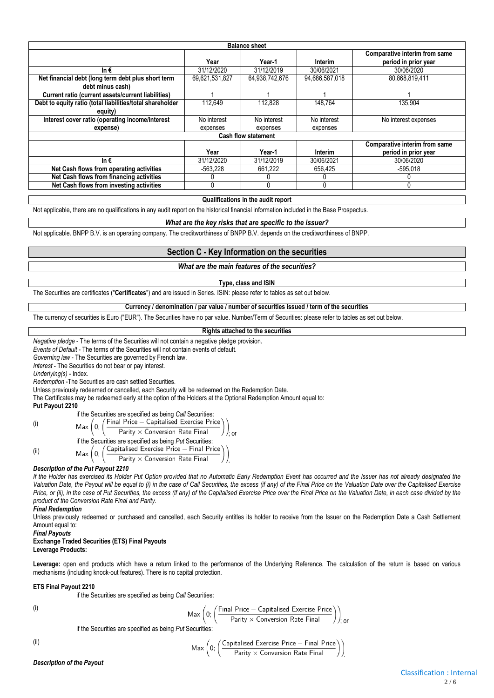|                                                           |                | <b>Balance sheet</b>       |                |                                                       |
|-----------------------------------------------------------|----------------|----------------------------|----------------|-------------------------------------------------------|
|                                                           | Year           | Year-1                     | Interim        | Comparative interim from same<br>period in prior year |
| In $\epsilon$                                             | 31/12/2020     | 31/12/2019                 | 30/06/2021     | 30/06/2020                                            |
| Net financial debt (long term debt plus short term        | 69,621,531,827 | 64,938,742,676             | 94,686,587,018 | 80,868,819,411                                        |
| debt minus cash)                                          |                |                            |                |                                                       |
| Current ratio (current assets/current liabilities)        |                |                            |                |                                                       |
| Debt to equity ratio (total liabilities/total shareholder | 112.649        | 112.828                    | 148.764        | 135,904                                               |
| equity)                                                   |                |                            |                |                                                       |
| Interest cover ratio (operating income/interest           | No interest    | No interest                | No interest    | No interest expenses                                  |
| expense)                                                  | expenses       | expenses                   | expenses       |                                                       |
|                                                           |                | <b>Cash flow statement</b> |                |                                                       |
|                                                           |                |                            |                | Comparative interim from same                         |
|                                                           | Year           | Year-1                     | Interim        | period in prior year                                  |
| In $\epsilon$                                             | 31/12/2020     | 31/12/2019                 | 30/06/2021     | 30/06/2020                                            |
| Net Cash flows from operating activities                  | $-563,228$     | 661,222                    | 656,425        | $-595,018$                                            |
| Net Cash flows from financing activities                  |                |                            | 0              |                                                       |
| Net Cash flows from investing activities                  | 0              |                            | 0              |                                                       |

#### **Qualifications in the audit report**

Not applicable, there are no qualifications in any audit report on the historical financial information included in the Base Prospectus.

#### *What are the key risks that are specific to the issuer?*

Not applicable. BNPP B.V. is an operating company. The creditworthiness of BNPP B.V. depends on the creditworthiness of BNPP.

#### **Section C - Key Information on the securities**

#### *What are the main features of the securities?*

#### **Type, class and ISIN**

The Securities are certificates ("**Certificates**") and are issued in Series. ISIN: please refer to tables as set out below.

**Currency / denomination / par value / number of securities issued / term of the securities**

The currency of securities is Euro ("EUR"). The Securities have no par value. Number/Term of Securities: please refer to tables as set out below.

#### **Rights attached to the securities**

*Negative pledge* - The terms of the Securities will not contain a negative pledge provision.

*Events of Default* - The terms of the Securities will not contain events of default.

*Governing law* - The Securities are governed by French law.

*Interest* - The Securities do not bear or pay interest.

*Underlying(s)* - Index.

*Redemption* -The Securities are cash settled Securities.

Unless previously redeemed or cancelled, each Security will be redeemed on the Redemption Date.

The Certificates may be redeemed early at the option of the Holders at the Optional Redemption Amount equal to: **Put Payout 2210**

if the Securities are specified as being *Call* Securities: (i) Max  $\Omega$ Parity  $\times$  Conversion Rate Final ; or if the Securities are specified as being *Put* Securities: (ii)  $Max(0;$ Parity  $\times$  Conversion Rate Final .

#### *Description of the Put Payout 2210*

*If the Holder has exercised its Holder Put Option provided that no Automatic Early Redemption Event has occurred and the Issuer has not already designated the*  Valuation Date, the Payout will be equal to (i) in the case of Call Securities, the excess (if any) of the Final Price on the Valuation Date over the Capitalised Exercise Price, or (ii), in the case of Put Securities, the excess (if any) of the Capitalised Exercise Price over the Final Price on the Valuation Date, in each case divided by the *product of the Conversion Rate Final and Parity.*

#### *Final Redemption*

Unless previously redeemed or purchased and cancelled, each Security entitles its holder to receive from the Issuer on the Redemption Date a Cash Settlement Amount equal to:

#### *Final Payouts*

#### **Exchange Traded Securities (ETS) Final Payouts Leverage Products:**

Leverage: open end products which have a return linked to the performance of the Underlying Reference. The calculation of the return is based on various mechanisms (including knock-out features). There is no capital protection.

#### **ETS Final Payout 2210**

if the Securities are specified as being *Call* Securities:

$$
\left( i\right)
$$

$$
\mathsf{Max}\left(0;\left(\frac{\mathsf{Final\ Price} - \mathsf{Capitalised\ Exercise\ Price}}{\mathsf{Parity}\times\mathsf{Consersion\ Rate\ Final}}\right)\right)_{\mathsf{cor}}
$$

if the Securities are specified as being *Put* Securities:

N

$$
(\mathsf{iii})
$$

$$
\text{lax}\left(0; \left(\frac{\text{Capitalised Exercise Price} - \text{Final Price}}{\text{Parity} \times \text{Conversion Rate Final}}\right)\right)
$$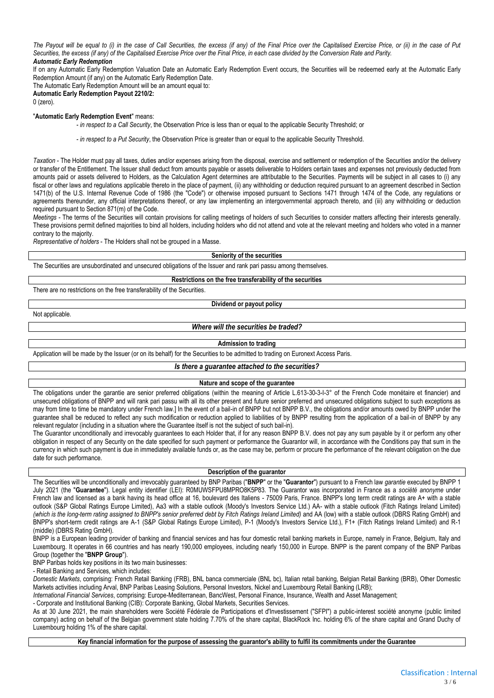*The Payout will be equal to (i) in the case of Call Securities, the excess (if any) of the Final Price over the Capitalised Exercise Price, or (ii) in the case of Put Securities, the excess (if any) of the Capitalised Exercise Price over the Final Price, in each case divided by the Conversion Rate and Parity. Automatic Early Redemption*

If on any Automatic Early Redemption Valuation Date an Automatic Early Redemption Event occurs, the Securities will be redeemed early at the Automatic Early Redemption Amount (if any) on the Automatic Early Redemption Date.

The Automatic Early Redemption Amount will be an amount equal to:

**Automatic Early Redemption Payout 2210/2:**

0 (zero).

#### "**Automatic Early Redemption Event**" means:

- *in respect to a Call Security*, the Observation Price is less than or equal to the applicable Security Threshold; or

- *in respect to a Put Security*, the Observation Price is greater than or equal to the applicable Security Threshold.

*Taxation* - The Holder must pay all taxes, duties and/or expenses arising from the disposal, exercise and settlement or redemption of the Securities and/or the delivery or transfer of the Entitlement. The Issuer shall deduct from amounts payable or assets deliverable to Holders certain taxes and expenses not previously deducted from amounts paid or assets delivered to Holders, as the Calculation Agent determines are attributable to the Securities. Payments will be subject in all cases to (i) any fiscal or other laws and regulations applicable thereto in the place of payment, (ii) any withholding or deduction required pursuant to an agreement described in Section 1471(b) of the U.S. Internal Revenue Code of 1986 (the "Code") or otherwise imposed pursuant to Sections 1471 through 1474 of the Code, any regulations or agreements thereunder, any official interpretations thereof, or any law implementing an intergovernmental approach thereto, and (iii) any withholding or deduction required pursuant to Section 871(m) of the Code.

*Meetings* - The terms of the Securities will contain provisions for calling meetings of holders of such Securities to consider matters affecting their interests generally. These provisions permit defined majorities to bind all holders, including holders who did not attend and vote at the relevant meeting and holders who voted in a manner contrary to the majority.

*Representative of holders* - The Holders shall not be grouped in a Masse.

**Seniority of the securities**

The Securities are unsubordinated and unsecured obligations of the Issuer and rank pari passu among themselves.

**Restrictions on the free transferability of the securities**

There are no restrictions on the free transferability of the Securities.

#### **Dividend or payout policy**

Not applicable.

#### *Where will the securities be traded?*

#### **Admission to trading**

Application will be made by the Issuer (or on its behalf) for the Securities to be admitted to trading on Euronext Access Paris.

#### *Is there a guarantee attached to the securities?*

#### **Nature and scope of the guarantee**

The obligations under the garantie are senior preferred obligations (within the meaning of Article L.613-30-3-I-3° of the French Code monétaire et financier) and unsecured obligations of BNPP and will rank pari passu with all its other present and future senior preferred and unsecured obligations subject to such exceptions as may from time to time be mandatory under French law.] In the event of a bail-in of BNPP but not BNPP B.V., the obligations and/or amounts owed by BNPP under the guarantee shall be reduced to reflect any such modification or reduction applied to liabilities of by BNPP resulting from the application of a bail-in of BNPP by any relevant regulator (including in a situation where the Guarantee itself is not the subject of such bail-in).

The Guarantor unconditionally and irrevocably guarantees to each Holder that, if for any reason BNPP B.V. does not pay any sum payable by it or perform any other obligation in respect of any Security on the date specified for such payment or performance the Guarantor will, in accordance with the Conditions pay that sum in the currency in which such payment is due in immediately available funds or, as the case may be, perform or procure the performance of the relevant obligation on the due date for such performance.

#### **Description of the guarantor**

The Securities will be unconditionally and irrevocably guaranteed by BNP Paribas ("**BNPP**" or the "**Guarantor**") pursuant to a French law *garantie* executed by BNPP 1 July 2021 (the "**Guarantee**"). Legal entity identifier (LEI): R0MUWSFPU8MPRO8K5P83. The Guarantor was incorporated in France as a *société anonyme* under French law and licensed as a bank having its head office at 16, boulevard des Italiens - 75009 Paris, France. BNPP's long term credit ratings are A+ with a stable outlook (S&P Global Ratings Europe Limited), Aa3 with a stable outlook (Moody's Investors Service Ltd.) AA- with a stable outlook (Fitch Ratings Ireland Limited) *(which is the long-term rating assigned to BNPP's senior preferred debt by Fitch Ratings Ireland Limited)* and AA (low) with a stable outlook (DBRS Rating GmbH) and BNPP's short-term credit ratings are A-1 (S&P Global Ratings Europe Limited), P-1 (Moody's Investors Service Ltd.), F1+ (Fitch Ratings Ireland Limited) and R-1 (middle) (DBRS Rating GmbH).

BNPP is a European leading provider of banking and financial services and has four domestic retail banking markets in Europe, namely in France, Belgium, Italy and Luxembourg. It operates in 66 countries and has nearly 190,000 employees, including nearly 150,000 in Europe. BNPP is the parent company of the BNP Paribas Group (together the "**BNPP Group**").

BNP Paribas holds key positions in its two main businesses:

- Retail Banking and Services, which includes:

*Domestic Markets*, comprising: French Retail Banking (FRB), BNL banca commerciale (BNL bc), Italian retail banking, Belgian Retail Banking (BRB), Other Domestic Markets activities including Arval, BNP Paribas Leasing Solutions, Personal Investors, Nickel and Luxembourg Retail Banking (LRB);

*International Financial Services*, comprising: Europe-Mediterranean, BancWest, Personal Finance, Insurance, Wealth and Asset Management;

- Corporate and Institutional Banking (CIB): Corporate Banking, Global Markets, Securities Services.

As at 30 June 2021, the main shareholders were Société Fédérale de Participations et d'Investissement ("SFPI") a public-interest société anonyme (public limited company) acting on behalf of the Belgian government state holding 7.70% of the share capital, BlackRock Inc. holding 6% of the share capital and Grand Duchy of Luxembourg holding 1% of the share capital.

**Key financial information for the purpose of assessing the guarantor's ability to fulfil its commitments under the Guarantee**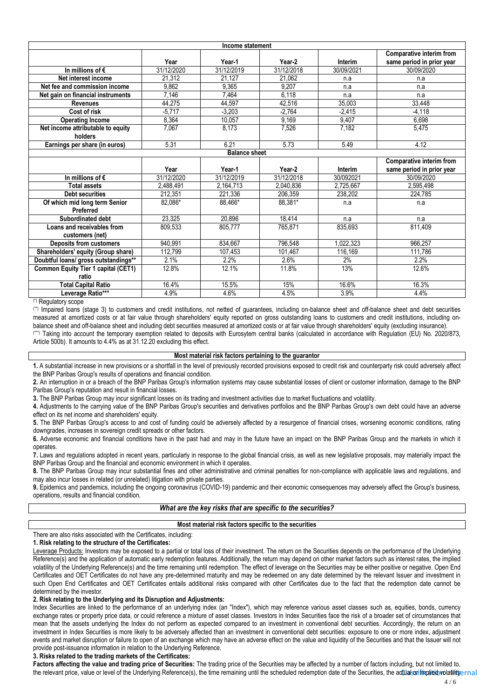|                                            |            | Income statement     |            |            |                           |
|--------------------------------------------|------------|----------------------|------------|------------|---------------------------|
|                                            |            |                      |            |            | Comparative interim from  |
|                                            | Year       | Year-1               | Year-2     | Interim    | same period in prior year |
| In millions of $\epsilon$                  | 31/12/2020 | 31/12/2019           | 31/12/2018 | 30/09/2021 | 30/09/2020                |
| Net interest income                        | 21.312     | 21.127               | 21,062     | n.a        | n.a                       |
| Net fee and commission income              | 9.862      | 9.365                | 9.207      | n.a        | n.a                       |
| Net gain on financial instruments          | 7,146      | 7,464                | 6,118      | n.a        | n.a                       |
| <b>Revenues</b>                            | 44,275     | 44,597               | 42,516     | 35,003     | 33,448                    |
| Cost of risk                               | $-5.717$   | $-3,203$             | $-2.764$   | $-2.415$   | $-4.118$                  |
| <b>Operating Income</b>                    | 8,364      | 10.057               | 9.169      | 9.407      | 6.698                     |
| Net income attributable to equity          | 7.067      | 8.173                | 7.526      | 7,182      | 5,475                     |
| holders                                    |            |                      |            |            |                           |
| Earnings per share (in euros)              | 5.31       | 6.21                 | 5.73       | 5.49       | 4.12                      |
|                                            |            | <b>Balance sheet</b> |            |            |                           |
|                                            |            |                      |            |            | Comparative interim from  |
|                                            | Year       | Year-1               | Year-2     | Interim    | same period in prior year |
| In millions of $\epsilon$                  | 31/12/2020 | 31/12/2019           | 31/12/2018 | 30/092021  | 30/09/2020                |
| <b>Total assets</b>                        | 2,488,491  | 2,164,713            | 2,040,836  | 2,725,667  | 2,595,498                 |
| <b>Debt securities</b>                     | 212.351    | 221.336              | 206.359    | 238.202    | 224.785                   |
| Of which mid long term Senior<br>Preferred | 82,086*    | 88,466*              | 88,381*    | n.a        | n.a                       |
| Subordinated debt                          | 23,325     | 20,896               | 18,414     | n.a        | n.a                       |
| Loans and receivables from                 | 809.533    | 805.777              | 765.871    | 835.693    | 811,409                   |
| customers (net)                            |            |                      |            |            |                           |
| <b>Deposits from customers</b>             | 940,991    | 834,667              | 796,548    | 1,022,323  | 966,257                   |
| Shareholders' equity (Group share)         | 112,799    | 107,453              | 101,467    | 116,169    | 111,786                   |
| Doubtful loans/ gross outstandings**       | 2.1%       | 2.2%                 | 2.6%       | 2%         | 2.2%                      |
| <b>Common Equity Tier 1 capital (CET1)</b> | 12.8%      | 12.1%                | 11.8%      | 13%        | 12.6%                     |
| ratio                                      |            |                      |            |            |                           |
| <b>Total Capital Ratio</b>                 | 16.4%      | 15.5%                | 15%        | 16.6%      | 16.3%                     |
| Leverage Ratio***                          | 4.9%       | 4.6%                 | 4.5%       | 3.9%       | 4.4%                      |

#### (\*) Regulatory scope

(\*\*) Impaired loans (stage 3) to customers and credit institutions, not netted of guarantees, including on-balance sheet and off-balance sheet and debt securities measured at amortized costs or at fair value through shareholders' equity reported on gross outstanding loans to customers and credit institutions, including onbalance sheet and off-balance sheet and including debt securities measured at amortized costs or at fair value through shareholders' equity (excluding insurance). (\*\*\*) Taking into account the temporary exemption related to deposits with Eurosytem central banks (calculated in accordance with Regulation (EU) No. 2020/873, Article 500b). It amounts to 4.4% as at 31.12.20 excluding this effect.

#### **Most material risk factors pertaining to the guarantor**

**1.** A substantial increase in new provisions or a shortfall in the level of previously recorded provisions exposed to credit risk and counterparty risk could adversely affect the BNP Paribas Group's results of operations and financial condition.

**2.** An interruption in or a breach of the BNP Paribas Group's information systems may cause substantial losses of client or customer information, damage to the BNP Paribas Group's reputation and result in financial losses.

**3.** The BNP Paribas Group may incur significant losses on its trading and investment activities due to market fluctuations and volatility.

**4.** Adjustments to the carrying value of the BNP Paribas Group's securities and derivatives portfolios and the BNP Paribas Group's own debt could have an adverse effect on its net income and shareholders' equity.

**5.** The BNP Paribas Group's access to and cost of funding could be adversely affected by a resurgence of financial crises, worsening economic conditions, rating downgrades, increases in sovereign credit spreads or other factors.

**6.** Adverse economic and financial conditions have in the past had and may in the future have an impact on the BNP Paribas Group and the markets in which it operates.

**7.** Laws and regulations adopted in recent years, particularly in response to the global financial crisis, as well as new legislative proposals, may materially impact the BNP Paribas Group and the financial and economic environment in which it operates.

**8.** The BNP Paribas Group may incur substantial fines and other administrative and criminal penalties for non-compliance with applicable laws and regulations, and may also incur losses in related (or unrelated) litigation with private parties.

**9.** Epidemics and pandemics, including the ongoing coronavirus (COVID-19) pandemic and their economic consequences may adversely affect the Group's business, operations, results and financial condition.

#### *What are the key risks that are specific to the securities?*

#### **Most material risk factors specific to the securities**

#### There are also risks associated with the Certificates, including:

#### **1. Risk relating to the structure of the Certificates:**

Leverage Products: Investors may be exposed to a partial or total loss of their investment. The return on the Securities depends on the performance of the Underlying Reference(s) and the application of automatic early redemption features. Additionally, the return may depend on other market factors such as interest rates, the implied volatility of the Underlying Reference(s) and the time remaining until redemption. The effect of leverage on the Securities may be either positive or negative. Open End Certificates and OET Certificates do not have any pre-determined maturity and may be redeemed on any date determined by the relevant Issuer and investment in such Open End Certificates and OET Certificates entails additional risks compared with other Certificates due to the fact that the redemption date cannot be determined by the investor.

#### **2. Risk relating to the Underlying and its Disruption and Adjustments:**

Index Securities are linked to the performance of an underlying index (an "Index"), which may reference various asset classes such as, equities, bonds, currency exchange rates or property price data, or could reference a mixture of asset classes. Investors in Index Securities face the risk of a broader set of circumstances that mean that the assets underlying the Index do not perform as expected compared to an investment in conventional debt securities. Accordingly, the return on an investment in Index Securities is more likely to be adversely affected than an investment in conventional debt securities: exposure to one or more index, adjustment events and market disruption or failure to open of an exchange which may have an adverse effect on the value and liquidity of the Securities and that the Issuer will not provide post-issuance information in relation to the Underlying Reference.

#### **3. Risks related to the trading markets of the Certificates:**

the relevant price, value or level of the Underlying Reference(s), the time remaining until the scheduled redemption date of the Securities, the actual or implied volatility $\epsilon$ rn al Factors affecting the value and trading price of Securities: The trading price of the Securities may be affected by a number of factors including, but not limited to,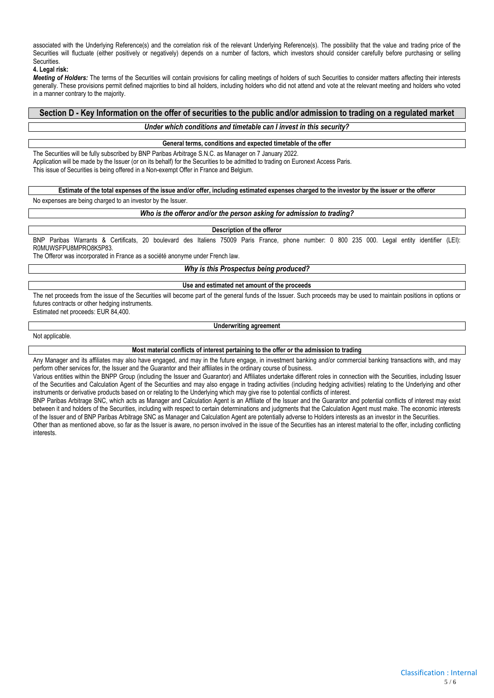associated with the Underlying Reference(s) and the correlation risk of the relevant Underlying Reference(s). The possibility that the value and trading price of the Securities will fluctuate (either positively or negatively) depends on a number of factors, which investors should consider carefully before purchasing or selling **Securities** 

#### **4. Legal risk:**

*Meeting of Holders:* The terms of the Securities will contain provisions for calling meetings of holders of such Securities to consider matters affecting their interests generally. These provisions permit defined majorities to bind all holders, including holders who did not attend and vote at the relevant meeting and holders who voted in a manner contrary to the majority.

## **Section D - Key Information on the offer of securities to the public and/or admission to trading on a regulated market**

#### *Under which conditions and timetable can I invest in this security?*

#### **General terms, conditions and expected timetable of the offer**

The Securities will be fully subscribed by BNP Paribas Arbitrage S.N.C. as Manager on 7 January 2022. Application will be made by the Issuer (or on its behalf) for the Securities to be admitted to trading on Euronext Access Paris. This issue of Securities is being offered in a Non-exempt Offer in France and Belgium.

## **Estimate of the total expenses of the issue and/or offer, including estimated expenses charged to the investor by the issuer or the offeror**

No expenses are being charged to an investor by the Issuer.

#### *Who is the offeror and/or the person asking for admission to trading?*

#### **Description of the offeror**

BNP Paribas Warrants & Certificats, 20 boulevard des Italiens 75009 Paris France, phone number: 0 800 235 000. Legal entity identifier (LEI): R0MUWSFPU8MPRO8K5P83.

The Offeror was incorporated in France as a société anonyme under French law.

*Why is this Prospectus being produced?*

#### **Use and estimated net amount of the proceeds**

The net proceeds from the issue of the Securities will become part of the general funds of the Issuer. Such proceeds may be used to maintain positions in options or futures contracts or other hedging instruments.

Estimated net proceeds: EUR 84,400.

**Underwriting agreement**

Not applicable.

**Most material conflicts of interest pertaining to the offer or the admission to trading**

Any Manager and its affiliates may also have engaged, and may in the future engage, in investment banking and/or commercial banking transactions with, and may perform other services for, the Issuer and the Guarantor and their affiliates in the ordinary course of business.

Various entities within the BNPP Group (including the Issuer and Guarantor) and Affiliates undertake different roles in connection with the Securities, including Issuer of the Securities and Calculation Agent of the Securities and may also engage in trading activities (including hedging activities) relating to the Underlying and other instruments or derivative products based on or relating to the Underlying which may give rise to potential conflicts of interest.

BNP Paribas Arbitrage SNC, which acts as Manager and Calculation Agent is an Affiliate of the Issuer and the Guarantor and potential conflicts of interest may exist between it and holders of the Securities, including with respect to certain determinations and judgments that the Calculation Agent must make. The economic interests of the Issuer and of BNP Paribas Arbitrage SNC as Manager and Calculation Agent are potentially adverse to Holders interests as an investor in the Securities.

Other than as mentioned above, so far as the Issuer is aware, no person involved in the issue of the Securities has an interest material to the offer, including conflicting interests.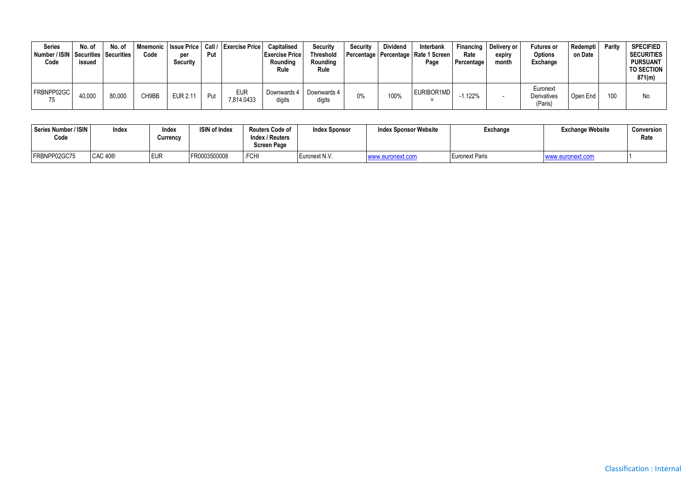| <b>Series</b><br>Number / ISIN   Securities   Securities<br>Code | No. of<br>issued | No. of | Code  | per<br>Security | Put | Mnemonic   Issue Price   Call / Exercise Price | Capitalised<br><b>Exercise Price</b><br>Rounding<br>Rule | Security<br><b>Threshold</b><br>Rounding<br>Rule | Security | <b>Dividend</b> | Interbank<br>Percentage   Percentage   Rate 1 Screen  <br>Page | Financing<br>Rate<br>Percentage | Delivery or<br>expiry<br>month | <b>Futures or</b><br><b>Options</b><br>Exchange | Redempti<br>on Date | Parity | <b>SPECIFIED</b><br><b>SECURITIES</b><br><b>PURSUANT</b><br>TO SECTION<br>871(m) |
|------------------------------------------------------------------|------------------|--------|-------|-----------------|-----|------------------------------------------------|----------------------------------------------------------|--------------------------------------------------|----------|-----------------|----------------------------------------------------------------|---------------------------------|--------------------------------|-------------------------------------------------|---------------------|--------|----------------------------------------------------------------------------------|
| FRBNPP02GC<br>75                                                 | 40,000           | 80,000 | CH9BB | <b>EUR 2.11</b> | Put | <b>EUR</b><br>7,814.0433                       | Downwards 4<br>digits                                    | Downwards 4<br>digits                            | 0%       | 100%            | EURIBOR1MD                                                     | $-1.122%$                       |                                | Euronext<br>Derivatives<br>(Paris)              | Open End            | 100    | No                                                                               |

| Series Number / ISIN<br>Code | Index               | Index<br>Currencv | <b>ISIN of Index</b> | <b>Reuters Code of</b><br>Index / Reuters<br>Screen Page | <b>Index Sponsor</b> | Index Sponsor Website | Exchange       | <b>Exchange Website</b> | Conversion<br>Rate |
|------------------------------|---------------------|-------------------|----------------------|----------------------------------------------------------|----------------------|-----------------------|----------------|-------------------------|--------------------|
| FRBNPP02GC75                 | CAC 40 <sup>®</sup> | EUR               | FR0003500008         | .FCHI                                                    | Euronext N.V.        | www.euronext.com      | Euronext Paris | www.euronext.co         |                    |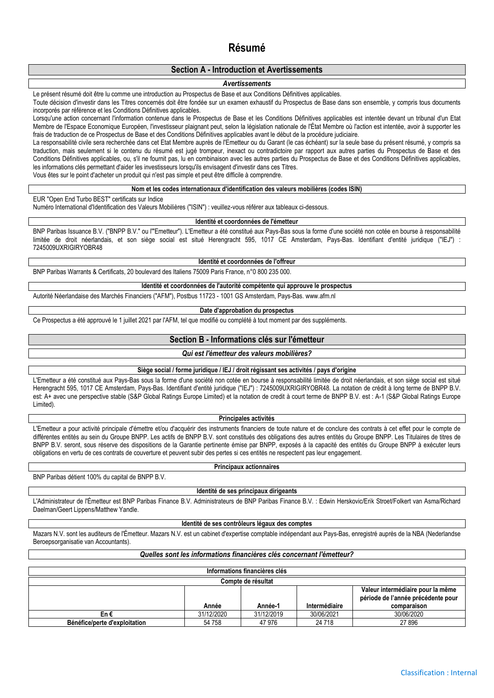## **Résumé**

#### **Section A - Introduction et Avertissements**

#### *Avertissements*

Le présent résumé doit être lu comme une introduction au Prospectus de Base et aux Conditions Définitives applicables.

Toute décision d'investir dans les Titres concernés doit être fondée sur un examen exhaustif du Prospectus de Base dans son ensemble, y compris tous documents incorporés par référence et les Conditions Définitives applicables.

Lorsqu'une action concernant l'information contenue dans le Prospectus de Base et les Conditions Définitives applicables est intentée devant un tribunal d'un Etat Membre de l'Espace Economique Européen, l'investisseur plaignant peut, selon la législation nationale de l'État Membre où l'action est intentée, avoir à supporter les frais de traduction de ce Prospectus de Base et des Conditions Définitives applicables avant le début de la procédure judiciaire.

La responsabilité civile sera recherchée dans cet Etat Membre auprès de l'Emetteur ou du Garant (le cas échéant) sur la seule base du présent résumé, y compris sa traduction, mais seulement si le contenu du résumé est jugé trompeur, inexact ou contradictoire par rapport aux autres parties du Prospectus de Base et des Conditions Définitives applicables, ou, s'il ne fournit pas, lu en combinaison avec les autres parties du Prospectus de Base et des Conditions Définitives applicables, les informations clés permettant d'aider les investisseurs lorsqu'ils envisagent d'investir dans ces Titres.

Vous êtes sur le point d'acheter un produit qui n'est pas simple et peut être difficile à comprendre.

#### **Nom et les codes internationaux d'identification des valeurs mobilières (codes ISIN)**

EUR "Open End Turbo BEST" certificats sur Indice

Numéro International d'Identification des Valeurs Mobilières ("ISIN") : veuillez-vous référer aux tableaux ci-dessous.

#### **Identité et coordonnées de l'émetteur**

BNP Paribas Issuance B.V. ("BNPP B.V." ou l'"Emetteur"). L'Emetteur a été constitué aux Pays-Bas sous la forme d'une société non cotée en bourse à responsabilité limitée de droit néerlandais, et son siège social est situé Herengracht 595, 1017 CE Amsterdam, Pays-Bas. Identifiant d'entité juridique ("IEJ") : 7245009UXRIGIRYOBR48

### **Identité et coordonnées de l'offreur**

BNP Paribas Warrants & Certificats, 20 boulevard des Italiens 75009 Paris France, n°0 800 235 000.

#### **Identité et coordonnées de l'autorité compétente qui approuve le prospectus**

Autorité Néerlandaise des Marchés Financiers ("AFM"), Postbus 11723 - 1001 GS Amsterdam, Pays-Bas. www.afm.nl

#### **Date d'approbation du prospectus**

Ce Prospectus a été approuvé le 1 juillet 2021 par l'AFM, tel que modifié ou complété à tout moment par des suppléments.

#### **Section B - Informations clés sur l'émetteur**

#### *Qui est l'émetteur des valeurs mobilières?*

#### **Siège social / forme juridique / IEJ / droit régissant ses activités / pays d'origine**

L'Emetteur a été constitué aux Pays-Bas sous la forme d'une société non cotée en bourse à responsabilité limitée de droit néerlandais, et son siège social est situé Herengracht 595, 1017 CE Amsterdam, Pays-Bas. Identifiant d'entité juridique ("IEJ") : 7245009UXRIGIRYOBR48. La notation de crédit à long terme de BNPP B.V. est: A+ avec une perspective stable (S&P Global Ratings Europe Limited) et la notation de credit à court terme de BNPP B.V. est : A-1 (S&P Global Ratings Europe Limited).

#### **Principales activités**

L'Emetteur a pour activité principale d'émettre et/ou d'acquérir des instruments financiers de toute nature et de conclure des contrats à cet effet pour le compte de différentes entités au sein du Groupe BNPP. Les actifs de BNPP B.V. sont constitués des obligations des autres entités du Groupe BNPP. Les Titulaires de titres de BNPP B.V. seront, sous réserve des dispositions de la Garantie pertinente émise par BNPP, exposés à la capacité des entités du Groupe BNPP à exécuter leurs obligations en vertu de ces contrats de couverture et peuvent subir des pertes si ces entités ne respectent pas leur engagement.

BNP Paribas détient 100% du capital de BNPP B.V.

# **Principaux actionnaires**

#### **Identité de ses principaux dirigeants**

L'Administrateur de l'Émetteur est BNP Paribas Finance B.V. Administrateurs de BNP Paribas Finance B.V. : Edwin Herskovic/Erik Stroet/Folkert van Asma/Richard Daelman/Geert Lippens/Matthew Yandle.

#### **Identité de ses contrôleurs légaux des comptes**

Mazars N.V. sont les auditeurs de l'Émetteur. Mazars N.V. est un cabinet d'expertise comptable indépendant aux Pays-Bas, enregistré auprès de la NBA (Nederlandse Beroepsorganisatie van Accountants).

#### *Quelles sont les informations financières clés concernant l'émetteur?*

| Informations financières clés |            |            |               |                                    |  |  |  |  |  |
|-------------------------------|------------|------------|---------------|------------------------------------|--|--|--|--|--|
| Compte de résultat            |            |            |               |                                    |  |  |  |  |  |
|                               |            |            |               | Valeur intermédiaire pour la même  |  |  |  |  |  |
|                               |            |            |               | période de l'année précédente pour |  |  |  |  |  |
|                               | Année      | Année-1    | Intermédiaire | comparaison                        |  |  |  |  |  |
| En €                          | 31/12/2020 | 31/12/2019 | 30/06/2021    | 30/06/2020                         |  |  |  |  |  |
| Bénéfice/perte d'exploitation | 54 758     | 47 976     | 24 7 18       | 27 896                             |  |  |  |  |  |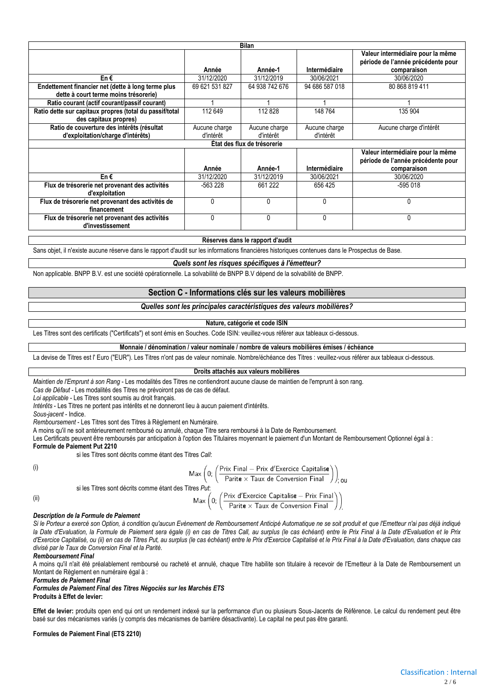|                                                                                             |                | <b>Bilan</b>                |                |                                                                         |
|---------------------------------------------------------------------------------------------|----------------|-----------------------------|----------------|-------------------------------------------------------------------------|
|                                                                                             |                |                             |                | Valeur intermédiaire pour la même<br>période de l'année précédente pour |
|                                                                                             | Année          | Année-1                     | Intermédiaire  | comparaison                                                             |
| En€                                                                                         | 31/12/2020     | 31/12/2019                  | 30/06/2021     | 30/06/2020                                                              |
| Endettement financier net (dette à long terme plus<br>dette à court terme moins trésorerie) | 69 621 531 827 | 64 938 742 676              | 94 686 587 018 | 80 868 819 411                                                          |
| Ratio courant (actif courant/passif courant)                                                |                |                             |                |                                                                         |
| Ratio dette sur capitaux propres (total du passif/total<br>des capitaux propres)            | 112 649        | 112 828                     | 148 764        | 135 904                                                                 |
| Ratio de couverture des intérêts (résultat                                                  | Aucune charge  | Aucune charge               | Aucune charge  | Aucune charge d'intérêt                                                 |
| d'exploitation/charge d'intérêts)                                                           | d'intérêt      | d'intérêt                   | d'intérêt      |                                                                         |
|                                                                                             |                | État des flux de trésorerie |                |                                                                         |
|                                                                                             |                |                             |                | Valeur intermédiaire pour la même<br>période de l'année précédente pour |
|                                                                                             | Année          | Année-1                     | Intermédiaire  | comparaison                                                             |
| En€                                                                                         | 31/12/2020     | 31/12/2019                  | 30/06/2021     | 30/06/2020                                                              |
| Flux de trésorerie net provenant des activités<br>d'exploitation                            | -563 228       | 661 222                     | 656 425        | -595 018                                                                |
| Flux de trésorerie net provenant des activités de<br>financement                            | 0              | 0                           | $\Omega$       | 0                                                                       |
| Flux de trésorerie net provenant des activités<br>d'investissement                          | 0              | 0                           | 0              | 0                                                                       |

#### **Réserves dans le rapport d'audit**

Sans objet, il n'existe aucune réserve dans le rapport d'audit sur les informations financières historiques contenues dans le Prospectus de Base.

*Quels sont les risques spécifiques à l'émetteur?*

Non applicable. BNPP B.V. est une société opérationnelle. La solvabilité de BNPP B.V dépend de la solvabilité de BNPP.

#### **Section C - Informations clés sur les valeurs mobilières**

#### *Quelles sont les principales caractéristiques des valeurs mobilières?*

#### **Nature, catégorie et code ISIN**

Les Titres sont des certificats ("Certificats") et sont émis en Souches. Code ISIN: veuillez-vous référer aux tableaux ci-dessous.

#### **Monnaie / dénomination / valeur nominale / nombre de valeurs mobilières émises / échéance**

La devise de Titres est l' Euro ("EUR"). Les Titres n'ont pas de valeur nominale. Nombre/échéance des Titres : veuillez-vous référer aux tableaux ci-dessous.

#### **Droits attachés aux valeurs mobilières**

*Maintien de l'Emprunt à son Rang* - Les modalités des Titres ne contiendront aucune clause de maintien de l'emprunt à son rang.

*Cas de Défaut* - Les modalités des Titres ne prévoiront pas de cas de défaut.

*Loi applicable* - Les Titres sont soumis au droit français.

*Intérêts* - Les Titres ne portent pas intérêts et ne donneront lieu à aucun paiement d'intérêts.

*Sous-jacent* - Indice.

*Remboursement* - Les Titres sont des Titres à Règlement en Numéraire.

A moins qu'il ne soit antérieurement remboursé ou annulé, chaque Titre sera remboursé à la Date de Remboursement.

Les Certificats peuvent être remboursés par anticipation à l'option des Titulaires moyennant le paiement d'un Montant de Remboursement Optionnel égal à :

#### **Formule de Paiement Put 2210**

si les Titres sont décrits comme étant des Titres *Call*:

(i)  
\n
$$
\mathsf{Max}\left(0;\left(\frac{\mathsf{Priv}\text{ Final} - \mathsf{Priv}\text{ d'Exercice Capitalis}}{\mathsf{Parite} \times \mathsf{Taux}\text{ de Conversion Final}}\right.\right)
$$
\n
$$
\mathsf{Nax}\left(0;\left(\frac{\mathsf{Priv}\text{ d'Exercice Capitalise} - \mathsf{Priv}\text{ Fiu}}{\mathsf{Parite} \times \mathsf{Taux}\text{ de Conversion Final}}\right)\right)
$$

#### *Description de la Formule de Paiement*

*Si le Porteur a exercé son Option, à condition qu'aucun Evènement de Remboursement Anticipé Automatique ne se soit produit et que l'Emetteur n'ai pas déjà indiqué*  la Date d'Evaluation, la Formule de Paiement sera égale (i) en cas de Titres Call, au surplus (le cas échéant) entre le Prix Final à la Date d'Evaluation et le Prix *d'Exercice Capitalisé, ou (ii) en cas de Titres Put, au surplus (le cas échéant) entre le Prix d'Exercice Capitalisé et le Prix Final à la Date d'Evaluation, dans chaque cas divisé par le Taux de Conversion Final et la Parité.*

; ou

.

#### *Remboursement Final*

A moins qu'il n'ait été préalablement remboursé ou racheté et annulé, chaque Titre habilite son titulaire à recevoir de l'Emetteur à la Date de Remboursement un Montant de Règlement en numéraire égal à :

*Formules de Paiement Final*

*Formules de Paiement Final des Titres Négociés sur les Marchés ETS* **Produits à Effet de levier:**

**Effet de levier:** produits open end qui ont un rendement indexé sur la performance d'un ou plusieurs Sous-Jacents de Référence. Le calcul du rendement peut être basé sur des mécanismes variés (y compris des mécanismes de barrière désactivante). Le capital ne peut pas être garanti.

#### **Formules de Paiement Final (ETS 2210)**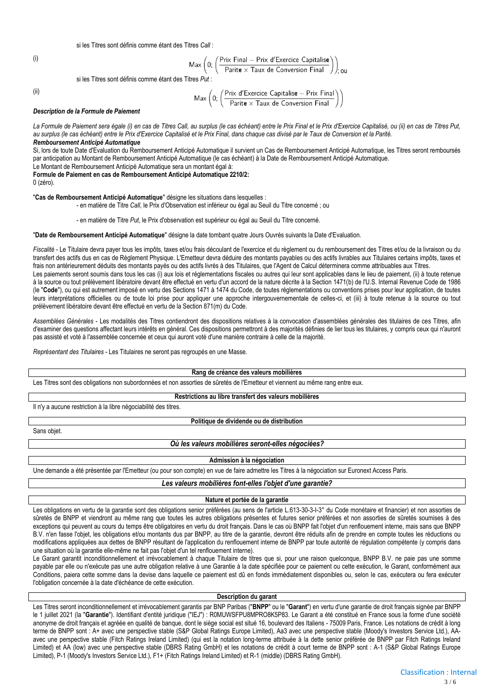si les Titres sont définis comme étant des Titres *Call* :

(i)

$$
\mathsf{Max}\left(0;\left(\frac{\mathsf{Priv} \; \mathsf{Final} - \mathsf{Priv} \; \mathsf{d}'\mathsf{Exercise} \; \mathsf{Capitalise}}{\mathsf{Parite} \times \mathsf{Taux} \; \mathsf{de} \; \mathsf{Conversion} \; \mathsf{Final}}\right)\right)_{\mathsf{1,}\; \mathsf{OU}}
$$

si les Titres sont définis comme étant des Titres *Put* :

(ii)

$$
\mathsf{Max}\left(0;\left(\frac{\mathsf{Priv}\; \mathsf{d}'\mathsf{Exercise}\; \mathsf{Capitalise} - \mathsf{Prix}\; \mathsf{Final}}{\mathsf{Parite} \times \mathsf{Taux}\; \mathsf{de}\; \mathsf{Conversion}\; \mathsf{Final}}\right)\right)
$$

#### *Description de la Formule de Paiement*

La Formule de Paiement sera égale (i) en cas de Titres Call, au surplus (le cas échéant) entre le Prix Final et le Prix d'Exercice Capitalisé, ou (ii) en cas de Titres Put, *au surplus (le cas échéant) entre le Prix d'Exercice Capitalisé et le Prix Final, dans chaque cas divisé par le Taux de Conversion et la Parité.*

*Remboursement Anticipé Automatique*

Si, lors de toute Date d'Evaluation du Remboursement Anticipé Automatique il survient un Cas de Remboursement Anticipé Automatique, les Titres seront remboursés par anticipation au Montant de Remboursement Anticipé Automatique (le cas échéant) à la Date de Remboursement Anticipé Automatique.

Le Montant de Remboursement Anticipé Automatique sera un montant égal à:

**Formule de Paiement en cas de Remboursement Anticipé Automatique 2210/2:**

0 (zéro).

"**Cas de Remboursement Anticipé Automatique**" désigne les situations dans lesquelles :

- en matière de Titre *Call*, le Prix d'Observation est inférieur ou égal au Seuil du Titre concerné ; ou

- en matière de Titre *Put*, le Prix d'observation est supérieur ou égal au Seuil du Titre concerné.

"**Date de Remboursement Anticipé Automatique**" désigne la date tombant quatre Jours Ouvrés suivants la Date d'Evaluation.

Fiscalité - Le Titulaire devra payer tous les impôts, taxes et/ou frais découlant de l'exercice et du règlement ou du remboursement des Titres et/ou de la livraison ou du transfert des actifs dus en cas de Règlement Physique. L'Emetteur devra déduire des montants payables ou des actifs livrables aux Titulaires certains impôts, taxes et frais non antérieurement déduits des montants payés ou des actifs livrés à des Titulaires, que l'Agent de Calcul déterminera comme attribuables aux Titres. Les paiements seront soumis dans tous les cas (i) aux lois et réglementations fiscales ou autres qui leur sont applicables dans le lieu de paiement, (ii) à toute retenue

à la source ou tout prélèvement libératoire devant être effectué en vertu d'un accord de la nature décrite à la Section 1471(b) de l'U.S. Internal Revenue Code de 1986 (le "**Code**"), ou qui est autrement imposé en vertu des Sections 1471 à 1474 du Code, de toutes réglementations ou conventions prises pour leur application, de toutes leurs interprétations officielles ou de toute loi prise pour appliquer une approche intergouvernementale de celles-ci, et (iii) à toute retenue à la source ou tout prélèvement libératoire devant être effectué en vertu de la Section 871(m) du Code.

Assemblées Générales - Les modalités des Titres contiendront des dispositions relatives à la convocation d'assemblées générales des titulaires de ces Titres, afin d'examiner des questions affectant leurs intérêts en général. Ces dispositions permettront à des majorités définies de lier tous les titulaires, y compris ceux qui n'auront pas assisté et voté à l'assemblée concernée et ceux qui auront voté d'une manière contraire à celle de la majorité.

*Représentant des Titulaires* - Les Titulaires ne seront pas regroupés en une Masse.

**Rang de créance des valeurs mobilières**

Les Titres sont des obligations non subordonnées et non assorties de sûretés de l'Emetteur et viennent au même rang entre eux.

#### **Restrictions au libre transfert des valeurs mobilières**

Il n'y a aucune restriction à la libre négociabilité des titres.

#### **Politique de dividende ou de distribution**

Sans objet.

#### *Où les valeurs mobilières seront-elles négociées?*

#### **Admission à la négociation**

Une demande a été présentée par l'Emetteur (ou pour son compte) en vue de faire admettre les Titres à la négociation sur Euronext Access Paris.

#### *Les valeurs mobilières font-elles l'objet d'une garantie?*

**Nature et portée de la garantie**

Les obligations en vertu de la garantie sont des obligations senior préférées (au sens de l'article L.613-30-3-I-3° du Code monétaire et financier) et non assorties de sûretés de BNPP et viendront au même rang que toutes les autres obligations présentes et futures senior préférées et non assorties de sûretés soumises à des exceptions qui peuvent au cours du temps être obligatoires en vertu du droit français. Dans le cas où BNPP fait l'objet d'un renflouement interne, mais sans que BNPP B.V. n'en fasse l'objet, les obligations et/ou montants dus par BNPP, au titre de la garantie, devront être réduits afin de prendre en compte toutes les réductions ou modifications appliquées aux dettes de BNPP résultant de l'application du renflouement interne de BNPP par toute autorité de régulation compétente (y compris dans une situation où la garantie elle-même ne fait pas l'objet d'un tel renflouement interne).

Le Garant garantit inconditionnellement et irrévocablement à chaque Titulaire de titres que si, pour une raison quelconque, BNPP B.V. ne paie pas une somme payable par elle ou n'exécute pas une autre obligation relative à une Garantie à la date spécifiée pour ce paiement ou cette exécution, le Garant, conformément aux Conditions, paiera cette somme dans la devise dans laquelle ce paiement est dû en fonds immédiatement disponibles ou, selon le cas, exécutera ou fera exécuter l'obligation concernée à la date d'échéance de cette exécution.

#### **Description du garant**

Les Titres seront inconditionnellement et irrévocablement garantis par BNP Paribas ("**BNPP**" ou le "**Garant**") en vertu d'une garantie de droit français signée par BNPP le 1 juillet 2021 (la "**Garantie**"). Identifiant d'entité juridique ("IEJ") : R0MUWSFPU8MPRO8K5P83. Le Garant a été constitué en France sous la forme d'une société anonyme de droit français et agréée en qualité de banque, dont le siège social est situé 16, boulevard des Italiens - 75009 Paris, France. Les notations de crédit à long terme de BNPP sont : A+ avec une perspective stable (S&P Global Ratings Europe Limited), Aa3 avec une perspective stable (Moody's Investors Service Ltd.), AAavec une perspective stable (Fitch Ratings Ireland Limited) (qui est la notation long-terme attribuée à la dette senior préférée de BNPP par Fitch Ratings Ireland Limited) et AA (low) avec une perspective stable (DBRS Rating GmbH) et les notations de crédit à court terme de BNPP sont : A-1 (S&P Global Ratings Europe Limited), P-1 (Moody's Investors Service Ltd.), F1+ (Fitch Ratings Ireland Limited) et R-1 (middle) (DBRS Rating GmbH).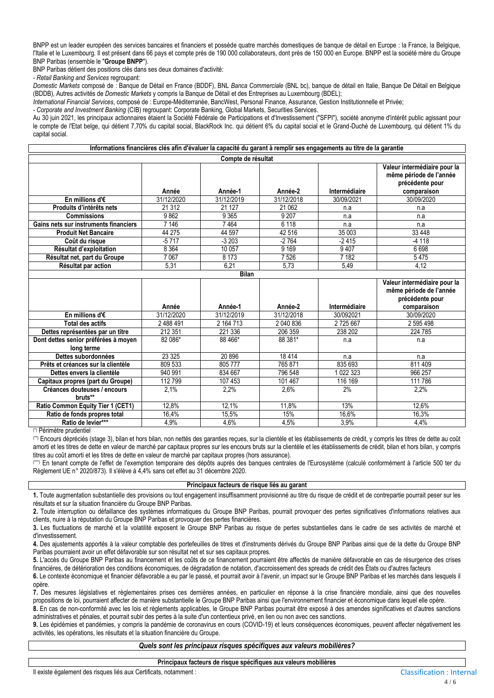BNPP est un leader européen des services bancaires et financiers et possède quatre marchés domestiques de banque de détail en Europe : la France, la Belgique, l'Italie et le Luxembourg. Il est présent dans 66 pays et compte près de 190 000 collaborateurs, dont près de 150 000 en Europe. BNPP est la société mère du Groupe BNP Paribas (ensemble le "**Groupe BNPP**").

BNP Paribas détient des positions clés dans ses deux domaines d'activité:

- *Retail Banking and Services* regroupant:

*Domestic Markets* composé de : Banque de Détail en France (BDDF), BNL *Banca Commerciale* (BNL bc), banque de détail en Italie, Banque De Détail en Belgique (BDDB), Autres activités de *Domestic Markets* y compris la Banque de Détail et des Entreprises au Luxembourg (BDEL);

*International Financial Services*, composé de : Europe-Méditerranée, BancWest, Personal Finance, Assurance, Gestion Institutionnelle et Privée;

- *Corporate and Investment Banking* (CIB) regroupant: Corporate Banking, Global Markets, Securities Services.

Au 30 juin 2021, les principaux actionnaires étaient la Société Fédérale de Participations et d'Investissement ("SFPI"), société anonyme d'intérêt public agissant pour le compte de l'Etat belge, qui détient 7,70% du capital social, BlackRock Inc. qui détient 6% du capital social et le Grand-Duché de Luxembourg, qui détient 1% du capital social.

| Informations financières clés afin d'évaluer la capacité du garant à remplir ses engagements au titre de la garantie |                    |              |            |               |                                                                                           |  |  |  |  |  |  |  |
|----------------------------------------------------------------------------------------------------------------------|--------------------|--------------|------------|---------------|-------------------------------------------------------------------------------------------|--|--|--|--|--|--|--|
|                                                                                                                      | Compte de résultat |              |            |               |                                                                                           |  |  |  |  |  |  |  |
|                                                                                                                      | Année              | Année-1      | Année-2    | Intermédiaire | Valeur intermédiaire pour la<br>même période de l'année<br>précédente pour<br>comparaison |  |  |  |  |  |  |  |
| En millions d' $\epsilon$                                                                                            | 31/12/2020         | 31/12/2019   | 31/12/2018 | 30/09/2021    | 30/09/2020                                                                                |  |  |  |  |  |  |  |
| Produits d'intérêts nets                                                                                             | 21 312             | 21 1 27      | 21 062     | n.a           | n.a                                                                                       |  |  |  |  |  |  |  |
| <b>Commissions</b>                                                                                                   | 9862               | 9 3 6 5      | 9 20 7     | n.a           | n.a                                                                                       |  |  |  |  |  |  |  |
| Gains nets sur instruments financiers                                                                                | 7 146              | 7464         | 6 1 1 8    | n.a           | n.a                                                                                       |  |  |  |  |  |  |  |
| <b>Produit Net Bancaire</b>                                                                                          | 44 275             | 44 597       | 42 516     | 35 003        | 33 4 48                                                                                   |  |  |  |  |  |  |  |
| Coût du risque                                                                                                       | $-5717$            | $-3203$      | $-2764$    | $-2415$       | $-4118$                                                                                   |  |  |  |  |  |  |  |
| Résultat d'exploitation                                                                                              | 8 3 6 4            | 10 057       | 9 1 6 9    | 9407          | 6698                                                                                      |  |  |  |  |  |  |  |
| Résultat net, part du Groupe                                                                                         | 7067               | 8 1 7 3      | 7526       | 7 182         | 5475                                                                                      |  |  |  |  |  |  |  |
| Résultat par action                                                                                                  | 5,31               | 6,21         | 5,73       | 5,49          | 4,12                                                                                      |  |  |  |  |  |  |  |
|                                                                                                                      |                    | <b>Bilan</b> |            |               |                                                                                           |  |  |  |  |  |  |  |
|                                                                                                                      |                    |              |            |               | Valeur intermédiaire pour la<br>même période de l'année                                   |  |  |  |  |  |  |  |

|                                      |            |            |            |               | Valeur intermédiaire pour la<br>même période de l'année |
|--------------------------------------|------------|------------|------------|---------------|---------------------------------------------------------|
|                                      |            |            |            |               | précédente pour                                         |
|                                      | Année      | Année-1    | Année-2    | Intermédiaire | comparaison                                             |
| En millions d' $\epsilon$            | 31/12/2020 | 31/12/2019 | 31/12/2018 | 30/092021     | 30/09/2020                                              |
| Total des actifs                     | 2488491    | 2 164 713  | 2 040 836  | 2725667       | 2 595 498                                               |
| Dettes représentées par un titre     | 212 351    | 221 336    | 206 359    | 238 202       | 224 785                                                 |
| Dont dettes senior préférées à moyen | 82 086*    | 88 466*    | 88 381*    | n.a           | n.a                                                     |
| long terme                           |            |            |            |               |                                                         |
| Dettes subordonnées                  | 23 3 25    | 20 896     | 18414      | n.a           | n.a                                                     |
| Prêts et créances sur la clientèle   | 809 533    | 805777     | 765871     | 835 693       | 811 409                                                 |
| Dettes envers la clientèle           | 940 991    | 834 667    | 796 548    | 1 022 323     | 966 257                                                 |
| Capitaux propres (part du Groupe)    | 112 799    | 107 453    | 101 467    | 116 169       | 111 786                                                 |
| Créances douteuses / encours         | 2.1%       | 2,2%       | 2,6%       | 2%            | 2,2%                                                    |
| bruts**                              |            |            |            |               |                                                         |
| Ratio Common Equity Tier 1 (CET1)    | 12,8%      | 12,1%      | 11,8%      | 13%           | 12,6%                                                   |
| Ratio de fonds propres total         | 16,4%      | 15,5%      | 15%        | 16,6%         | 16,3%                                                   |
| Ratio de levier***                   | 4,9%       | 4,6%       | 4,5%       | 3,9%          | 4,4%                                                    |

(\*) Périmètre prudentiel

(\*\*) Encours dépréciés (stage 3), bilan et hors bilan, non nettés des garanties reçues, sur la clientèle et les établissements de crédit, y compris les titres de dette au coût amorti et les titres de dette en valeur de marché par capitaux propres sur les encours bruts sur la clientèle et les établissements de crédit, bilan et hors bilan, y compris titres au coût amorti et les titres de dette en valeur de marché par capitaux propres (hors assurance).

(\*\*\*) En tenant compte de l'effet de l'exemption temporaire des dépôts auprès des banques centrales de l'Eurosystème (calculé conformément à l'article 500 ter du Règlement UE n° 2020/873). Il s'élève à 4,4% sans cet effet au 31 décembre 2020.

#### **Principaux facteurs de risque liés au garant**

**1.** Toute augmentation substantielle des provisions ou tout engagement insuffisamment provisionné au titre du risque de crédit et de contrepartie pourrait peser sur les résultats et sur la situation financière du Groupe BNP Paribas.

**2.** Toute interruption ou défaillance des systèmes informatiques du Groupe BNP Paribas, pourrait provoquer des pertes significatives d'informations relatives aux clients, nuire à la réputation du Groupe BNP Paribas et provoquer des pertes financières.

**3.** Les fluctuations de marché et la volatilité exposent le Groupe BNP Paribas au risque de pertes substantielles dans le cadre de ses activités de marché et d'investissement.

**4.** Des ajustements apportés à la valeur comptable des portefeuilles de titres et d'instruments dérivés du Groupe BNP Paribas ainsi que de la dette du Groupe BNP Paribas pourraient avoir un effet défavorable sur son résultat net et sur ses capitaux propres.

**5.** L'accès du Groupe BNP Paribas au financement et les coûts de ce financement pourraient être affectés de manière défavorable en cas de résurgence des crises financières, de détérioration des conditions économiques, de dégradation de notation, d'accroissement des spreads de crédit des États ou d'autres facteurs

**6.** Le contexte économique et financier défavorable a eu par le passé, et pourrait avoir à l'avenir, un impact sur le Groupe BNP Paribas et les marchés dans lesquels il opère.

**7.** Des mesures législatives et règlementaires prises ces dernières années, en particulier en réponse à la crise financière mondiale, ainsi que des nouvelles propositions de loi, pourraient affecter de manière substantielle le Groupe BNP Paribas ainsi que l'environnement financier et économique dans lequel elle opère.

**8.** En cas de non-conformité avec les lois et règlements applicables, le Groupe BNP Paribas pourrait être exposé à des amendes significatives et d'autres sanctions administratives et pénales, et pourrait subir des pertes à la suite d'un contentieux privé, en lien ou non avec ces sanctions.

**9.** Les épidémies et pandémies, y compris la pandémie de coronavirus en cours (COVID-19) et leurs conséquences économiques, peuvent affecter négativement les activités, les opérations, les résultats et la situation financière du Groupe.

*Quels sont les principaux risques spécifiques aux valeurs mobilières?*

**Principaux facteurs de risque spécifiques aux valeurs mobilières**

Il existe également des risques liés aux Certificats, notamment :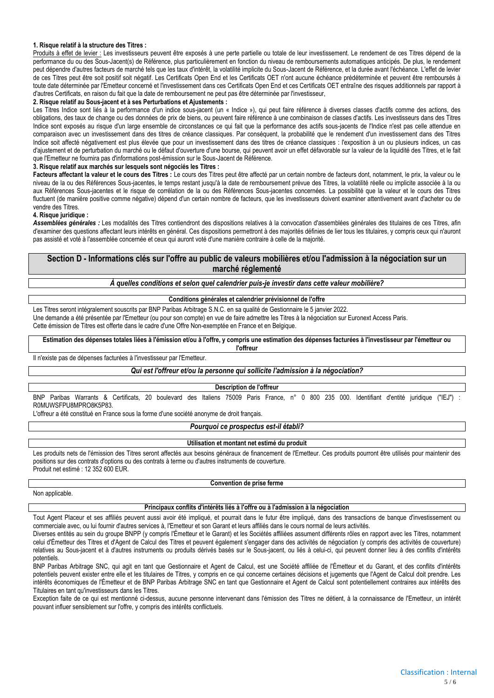#### **1. Risque relatif à la structure des Titres :**

Produits à effet de levier : Les investisseurs peuvent être exposés à une perte partielle ou totale de leur investissement. Le rendement de ces Titres dépend de la performance du ou des Sous-Jacent(s) de Référence, plus particulièrement en fonction du niveau de remboursements automatiques anticipés. De plus, le rendement peut dépendre d'autres facteurs de marché tels que les taux d'intérêt, la volatilité implicite du Sous-Jacent de Référence, et la durée avant l'échéance. L'effet de levier de ces Titres peut être soit positif soit négatif. Les Certificats Open End et les Certificats OET n'ont aucune échéance prédéterminée et peuvent être remboursés à toute date déterminée par l'Emetteur concerné et l'investissement dans ces Certificats Open End et ces Certificats OET entraîne des risques additionnels par rapport à d'autres Certificats, en raison du fait que la date de remboursement ne peut pas être déterminée par l'investisseur,

#### **2. Risque relatif au Sous-jacent et à ses Perturbations et Ajustements :**

Les Titres Indice sont liés à la performance d'un indice sous-jacent (un « Indice »), qui peut faire référence à diverses classes d'actifs comme des actions, des obligations, des taux de change ou des données de prix de biens, ou peuvent faire référence à une combinaison de classes d'actifs. Les investisseurs dans des Titres Indice sont exposés au risque d'un large ensemble de circonstances ce qui fait que la performance des actifs sous-jacents de l'Indice n'est pas celle attendue en comparaison avec un investissement dans des titres de créance classiques. Par conséquent, la probabilité que le rendement d'un investissement dans des Titres Indice soit affecté négativement est plus élevée que pour un investissement dans des titres de créance classiques : l'exposition à un ou plusieurs indices, un cas d'ajustement et de perturbation du marché ou le défaut d'ouverture d'une bourse, qui peuvent avoir un effet défavorable sur la valeur de la liquidité des Titres, et le fait que l'Emetteur ne fournira pas d'informations post-émission sur le Sous-Jacent de Référence.

#### **3. Risque relatif aux marchés sur lesquels sont négociés les Titres :**

Facteurs affectant la valeur et le cours des Titres : Le cours des Titres peut être affecté par un certain nombre de facteurs dont, notamment, le prix, la valeur ou le niveau de la ou des Références Sous-jacentes, le temps restant jusqu'à la date de remboursement prévue des Titres, la volatilité réelle ou implicite associée à la ou aux Références Sous-jacentes et le risque de corrélation de la ou des Références Sous-jacentes concernées. La possibilité que la valeur et le cours des Titres fluctuent (de manière positive comme négative) dépend d'un certain nombre de facteurs, que les investisseurs doivent examiner attentivement avant d'acheter ou de vendre des Titres.

#### **4. Risque juridique :**

*Assemblées générales :* Les modalités des Titres contiendront des dispositions relatives à la convocation d'assemblées générales des titulaires de ces Titres, afin d'examiner des questions affectant leurs intérêts en général. Ces dispositions permettront à des majorités définies de lier tous les titulaires, y compris ceux qui n'auront pas assisté et voté à l'assemblée concernée et ceux qui auront voté d'une manière contraire à celle de la majorité.

#### **Section D - Informations clés sur l'offre au public de valeurs mobilières et/ou l'admission à la négociation sur un marché réglementé**

*À quelles conditions et selon quel calendrier puis-je investir dans cette valeur mobilière?*

#### **Conditions générales et calendrier prévisionnel de l'offre**

Les Titres seront intégralement souscrits par BNP Paribas Arbitrage S.N.C. en sa qualité de Gestionnaire le 5 janvier 2022. Une demande a été présentée par l'Emetteur (ou pour son compte) en vue de faire admettre les Titres à la négociation sur Euronext Access Paris. Cette émission de Titres est offerte dans le cadre d'une Offre Non-exemptée en France et en Belgique.

**Estimation des dépenses totales liées à l'émission et/ou à l'offre, y compris une estimation des dépenses facturées à l'investisseur par l'émetteur ou l'offreur**

Il n'existe pas de dépenses facturées à l'investisseur par l'Emetteur.

#### *Qui est l'offreur et/ou la personne qui sollicite l'admission à la négociation?*

#### **Description de l'offreur**

BNP Paribas Warrants & Certificats, 20 boulevard des Italiens 75009 Paris France, n° 0 800 235 000. Identifiant d'entité juridique ("IEJ") R0MUWSFPU8MPRO8K5P83.

L'offreur a été constitué en France sous la forme d'une société anonyme de droit français.

#### *Pourquoi ce prospectus est-il établi?*

#### **Utilisation et montant net estimé du produit**

Les produits nets de l'émission des Titres seront affectés aux besoins généraux de financement de l'Emetteur. Ces produits pourront être utilisés pour maintenir des positions sur des contrats d'options ou des contrats à terme ou d'autres instruments de couverture. Produit net estimé : 12 352 600 EUR.

#### **Convention de prise ferme**

Non applicable.

#### **Principaux conflits d'intérêts liés à l'offre ou à l'admission à la négociation**

Tout Agent Placeur et ses affiliés peuvent aussi avoir été impliqué, et pourrait dans le futur être impliqué, dans des transactions de banque d'investissement ou commerciale avec, ou lui fournir d'autres services à, l'Emetteur et son Garant et leurs affiliés dans le cours normal de leurs activités.

Diverses entités au sein du groupe BNPP (y compris l'Émetteur et le Garant) et les Sociétés affiliées assument différents rôles en rapport avec les Titres, notamment celui d'Émetteur des Titres et d'Agent de Calcul des Titres et peuvent également s'engager dans des activités de négociation (y compris des activités de couverture) relatives au Sous-jacent et à d'autres instruments ou produits dérivés basés sur le Sous-jacent, ou liés à celui-ci, qui peuvent donner lieu à des conflits d'intérêts potentiels.

BNP Paribas Arbitrage SNC, qui agit en tant que Gestionnaire et Agent de Calcul, est une Société affiliée de l'Émetteur et du Garant, et des conflits d'intérêts potentiels peuvent exister entre elle et les titulaires de Titres, y compris en ce qui concerne certaines décisions et jugements que l'Agent de Calcul doit prendre. Les intérêts économiques de l'Émetteur et de BNP Paribas Arbitrage SNC en tant que Gestionnaire et Agent de Calcul sont potentiellement contraires aux intérêts des Titulaires en tant qu'investisseurs dans les Titres.

Exception faite de ce qui est mentionné ci-dessus, aucune personne intervenant dans l'émission des Titres ne détient, à la connaissance de l'Emetteur, un intérêt pouvant influer sensiblement sur l'offre, y compris des intérêts conflictuels.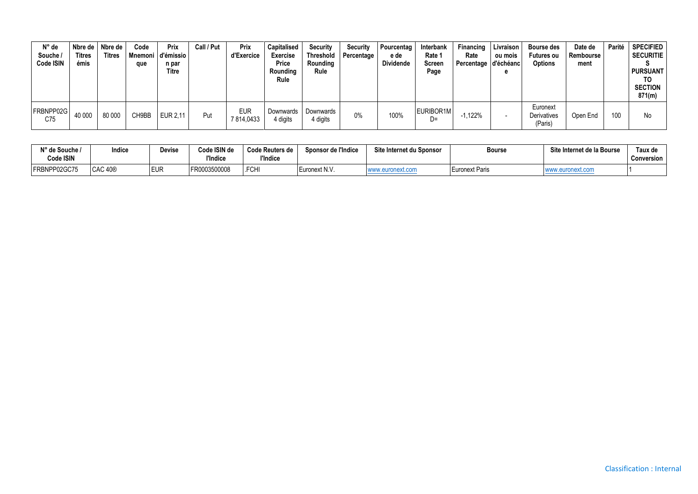| $N^{\circ}$ de<br>Souche /<br>Code ISIN | Nbre de l<br><b>Titres</b><br>émis | Nbre de<br><b>Titres</b> | Code<br>que | Prix<br>Mnemoni d'émissio<br>n par<br><b>Titre</b> | Call / Put | Prix<br>d'Exercice      | <b>Capitalised</b><br><b>Exercise</b><br>Price<br>Rounding<br>Rule | <b>Security</b><br>Threshold<br>Rounding<br>Rule | Security<br>Percentage | Pourcentag<br>e de<br>Dividende | Interbank<br>Rate 1<br>Screen<br>Page | Financing<br>Rate<br>Percentage d'échéanc | Livraison<br>ou mois | <b>Bourse des</b><br><b>Futures ou</b><br><b>Options</b> | Date de<br>Rembourse<br>ment | Parité | <b>SPECIFIED</b><br><b>SECURITIE</b><br><b>PURSUANT</b><br>TO<br><b>SECTION</b><br>871(m) |
|-----------------------------------------|------------------------------------|--------------------------|-------------|----------------------------------------------------|------------|-------------------------|--------------------------------------------------------------------|--------------------------------------------------|------------------------|---------------------------------|---------------------------------------|-------------------------------------------|----------------------|----------------------------------------------------------|------------------------------|--------|-------------------------------------------------------------------------------------------|
| FRBNPP02G<br>C75                        | 40 000                             | 80 000                   | CH9BB       | EUR 2,11                                           | Put        | <b>EUR</b><br>7814,0433 | Downwards<br>4 digits                                              | Downwards<br>4 digits                            | 0%                     | 100%                            | EURIBOR1M<br>D=                       | $-1,122%$                                 |                      | Euronext<br>Derivatives<br>(Paris)                       | Open End                     | 100    | No                                                                                        |

| N° de Souche /<br>Code ISIN | Indice              | Jevise | Code ISIN de<br>"Indice | <b>Code Reuters de</b><br><b><i><u>I'Indice</u></i></b> | Sponsor de l'Indice | Site Internet du Sponsor | Bourse                | Site Internet de la Bourse | <b>Taux de</b><br><b>Conversion</b> |
|-----------------------------|---------------------|--------|-------------------------|---------------------------------------------------------|---------------------|--------------------------|-----------------------|----------------------------|-------------------------------------|
| FRBNPP02GC75                | CAC 40 <sup>®</sup> | EUR    | FR0003500008            | .FCHI                                                   | Euronext N.V.       |                          | <b>Euronext Paris</b> |                            |                                     |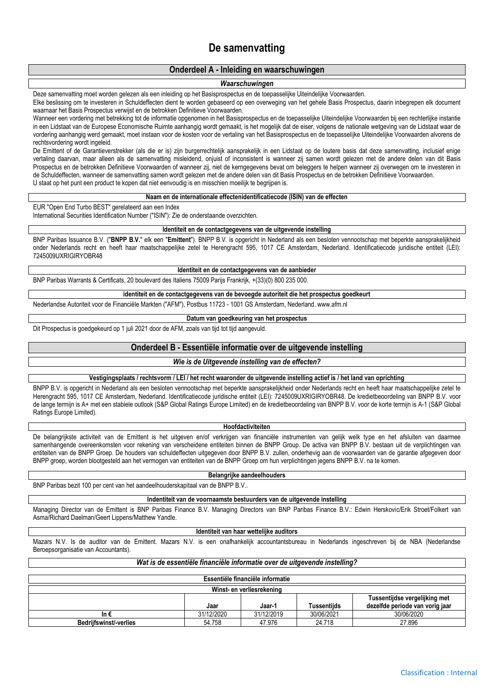## **De samenvatting**

#### **Onderdeel A - Inleiding en waarschuwingen**

#### *Waarschuwingen*

Deze samenvatting moet worden gelezen als een inleiding op het Basisprospectus en de toepasselijke Uiteindelijke Voorwaarden.

Elke beslissing om te investeren in Schuldeffecten dient te worden gebaseerd op een overweging van het gehele Basis Prospectus, daarin inbegrepen elk document waarnaar het Basis Prospectus verwijst en de betrokken Definitieve Voorwaarden.

Wanneer een vordering met betrekking tot de informatie opgenomen in het Basisprospectus en de toepasselijke Uiteindelijke Voorwaarden bij een rechterlijke instantie in een Lidstaat van de Europese Economische Ruimte aanhangig wordt gemaakt, is het mogelijk dat de eiser, volgens de nationale wetgeving van de Lidstaat waar de vordering aanhangig werd gemaakt, moet instaan voor de kosten voor de vertaling van het Basisprospectus en de toepasselijke Uiteindelijke Voorwaarden alvorens de rechtsvordering wordt ingeleid.

De Emittent of de Garantieverstrekker (als die er is) zijn burgerrechtelijk aansprakelijk in een Lidstaat op de loutere basis dat deze samenvatting, inclusief enige vertaling daarvan, maar alleen als de samenvatting misleidend, onjuist of inconsistent is wanneer zij samen wordt gelezen met de andere delen van dit Basis Prospectus en de betrokken Definitieve Voorwaarden of wanneer zij, niet de kerngegevens bevat om beleggers te helpen wanneer zij overwegen om te investeren in de Schuldeffecten, wanneer de samenvatting samen wordt gelezen met de andere delen van dit Basis Prospectus en de betrokken Definitieve Voorwaarden. U staat op het punt een product te kopen dat niet eenvoudig is en misschien moeilijk te begrijpen is.

#### **Naam en de internationale effectenidentificatiecode (ISIN) van de effecten**

EUR "Open End Turbo BEST" gerelateerd aan een Index

International Securities Identification Number ("ISIN"): Zie de onderstaande overzichten.

#### **Identiteit en de contactgegevens van de uitgevende instelling**

BNP Paribas Issuance B.V. ("**BNPP B.V.**" elk een "**Emittent**"). BNPP B.V. is opgericht in Nederland als een besloten vennootschap met beperkte aansprakelijkheid onder Nederlands recht en heeft haar maatschappelijke zetel te Herengracht 595, 1017 CE Amsterdam, Nederland. Identificatiecode juridische entiteit (LEI): 7245009UXRIGIRYOBR48

#### **Identiteit en de contactgegevens van de aanbieder**

BNP Paribas Warrants & Certificats, 20 boulevard des Italiens 75009 Parijs Frankrijk, +(33)(0) 800 235 000.

#### **identiteit en de contactgegevens van de bevoegde autoriteit die het prospectus goedkeurt**

Nederlandse Autoriteit voor de Financiële Markten ("AFM"), Postbus 11723 - 1001 GS Amsterdam, Nederland. www.afm.nl

#### **Datum van goedkeuring van het prospectus** Dit Prospectus is goedgekeurd op 1 juli 2021 door de AFM, zoals van tijd tot tijd aangevuld.

#### **Onderdeel B - Essentiële informatie over de uitgevende instelling**

#### *Wie is de Uitgevende instelling van de effecten?*

**Vestigingsplaats / rechtsvorm / LEI / het recht waaronder de uitgevende instelling actief is / het land van oprichting**

BNPP B.V. is opgericht in Nederland als een besloten vennootschap met beperkte aansprakelijkheid onder Nederlands recht en heeft haar maatschappelijke zetel te Herengracht 595, 1017 CE Amsterdam, Nederland. Identificatiecode juridische entiteit (LEI): 7245009UXRIGIRYOBR48. De kredietbeoordeling van BNPP B.V. voor de lange termijn is A+ met een stabiele outlook (S&P Global Ratings Europe Limited) en de kredietbeoordeling van BNPP B.V. voor de korte termijn is A-1 (S&P Global Ratings Europe Limited).

#### **Hoofdactiviteiten**

De belangrijkste activiteit van de Emittent is het uitgeven en/of verkrijgen van financiële instrumenten van gelijk welk type en het afsluiten van daarmee samenhangende overeenkomsten voor rekening van verscheidene entiteiten binnen de BNPP Group. De activa van BNPP B.V. bestaan uit de verplichtingen van entiteiten van de BNPP Groep. De houders van schuldeffecten uitgegeven door BNPP B.V. zullen, onderhevig aan de voorwaarden van de garantie afgegeven door BNPP groep, worden blootgesteld aan het vermogen van entiteiten van de BNPP Groep om hun verplichtingen jegens BNPP B.V. na te komen.

#### **Belangrijke aandeelhouders**

BNP Paribas bezit 100 per cent van het aandeelhouderskapitaal van de BNPP B.V..

#### **Indentiteit van de voornaamste bestuurders van de uitgevende instelling**

Managing Director van de Emittent is BNP Paribas Finance B.V. Managing Directors van BNP Paribas Finance B.V.: Edwin Herskovic/Erik Stroet/Folkert van Asma/Richard Daelman/Geert Lippens/Matthew Yandle.

#### **Identiteit van haar wettelijke auditors**

Mazars N.V. Is de auditor van de Emittent. Mazars N.V. is een onafhankelijk accountantsbureau in Nederlands ingeschreven bij de NBA (Nederlandse Beroepsorganisatie van Accountants).

#### *Wat is de essentiële financiële informatie over de uitgevende instelling?*

| Essentiële financiële informatie |            |            |             |                                                                  |  |  |  |  |  |
|----------------------------------|------------|------------|-------------|------------------------------------------------------------------|--|--|--|--|--|
| Winst- en verliesrekening        |            |            |             |                                                                  |  |  |  |  |  |
|                                  | Jaar       | Jaar-1     | Tussentiids | Tussentijdse vergelijking met<br>dezelfde periode van vorig jaar |  |  |  |  |  |
| In €                             | 31/12/2020 | 31/12/2019 | 30/06/2021  | 30/06/2020                                                       |  |  |  |  |  |
| <b>Bedrijfswinst/-verlies</b>    | 54.758     | 47.976     | 24.718      | 27.896                                                           |  |  |  |  |  |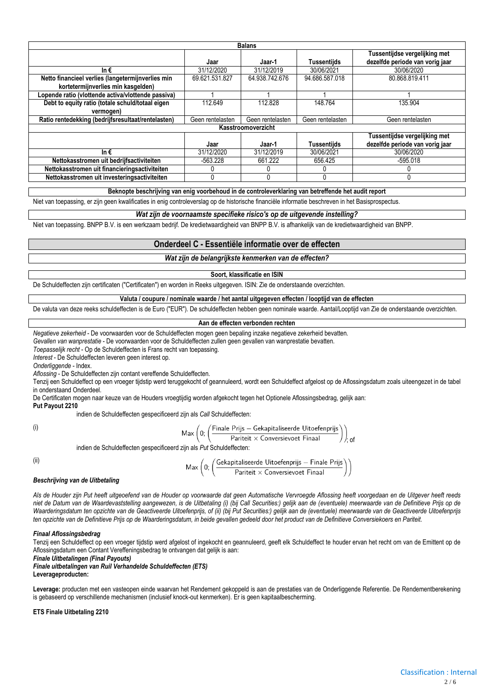|                                                    |                  | <b>Balans</b>      |                    |                                                                  |
|----------------------------------------------------|------------------|--------------------|--------------------|------------------------------------------------------------------|
|                                                    | Jaar             | Jaar-1             | <b>Tussentijds</b> | Tussentijdse vergelijking met<br>dezelfde periode van vorig jaar |
| In $\epsilon$                                      | 31/12/2020       | 31/12/2019         | 30/06/2021         | 30/06/2020                                                       |
| Netto financieel verlies (langetermijnverlies min  | 69.621.531.827   | 64.938.742.676     | 94.686.587.018     | 80.868.819.411                                                   |
| kortetermijnverlies min kasgelden)                 |                  |                    |                    |                                                                  |
| Lopende ratio (vlottende activa/vlottende passiva) |                  |                    |                    |                                                                  |
| Debt to equity ratio (totale schuld/totaal eigen   | 112.649          | 112.828            | 148.764            | 135.904                                                          |
| vermogen)                                          |                  |                    |                    |                                                                  |
| Ratio rentedekking (bedrijfsresultaat/rentelasten) | Geen rentelasten | Geen rentelasten   | Geen rentelasten   | Geen rentelasten                                                 |
|                                                    |                  | Kasstroomoverzicht |                    |                                                                  |
|                                                    | Jaar             | Jaar-1             | <b>Tussentiids</b> | Tussentijdse vergelijking met<br>dezelfde periode van vorig jaar |
| In $\epsilon$                                      | 31/12/2020       | 31/12/2019         | 30/06/2021         | 30/06/2020                                                       |
| Nettokasstromen uit bedrijfsactiviteiten           | $-563.228$       | 661.222            | 656.425            | $-595.018$                                                       |
| Nettokasstromen uit financieringsactiviteiten      |                  |                    | 0                  |                                                                  |
| Nettokasstromen uit investeringsactiviteiten       | 0                |                    | 0                  |                                                                  |

**Beknopte beschrijving van enig voorbehoud in de controleverklaring van betreffende het audit report**

Niet van toepassing, er zijn geen kwalificaties in enig controleverslag op de historische financiële informatie beschreven in het Basisprospectus.

#### *Wat zijn de voornaamste specifieke risico's op de uitgevende instelling?*

Niet van toepassing. BNPP B.V. is een werkzaam bedrijf. De kredietwaardigheid van BNPP B.V. is afhankelijk van de kredietwaardigheid van BNPP.

#### **Onderdeel C - Essentiële informatie over de effecten**

*Wat zijn de belangrijkste kenmerken van de effecten?*

#### **Soort, klassificatie en ISIN**

De Schuldeffecten zijn certificaten ("Certificaten") en worden in Reeks uitgegeven. ISIN: Zie de onderstaande overzichten.

#### **Valuta / coupure / nominale waarde / het aantal uitgegeven effecten / looptijd van de effecten**

De valuta van deze reeks schuldeffecten is de Euro ("EUR"). De schuldeffecten hebben geen nominale waarde. Aantal/Looptijd van Zie de onderstaande overzichten.

#### **Aan de effecten verbonden rechten**

*Negatieve zekerheid* - De voorwaarden voor de Schuldeffecten mogen geen bepaling inzake negatieve zekerheid bevatten.

*Gevallen van wanprestatie* - De voorwaarden voor de Schuldeffecten zullen geen gevallen van wanprestatie bevatten.

*Toepasselijk recht* - Op de Schuldeffecten is Frans recht van toepassing.

*Interest* - De Schuldeffecten leveren geen interest op.

*Onderliggende* - Index.

*Aflossing* - De Schuldeffecten zijn contant vereffende Schuldeffecten.

Tenzij een Schuldeffect op een vroeger tijdstip werd teruggekocht of geannuleerd, wordt een Schuldeffect afgelost op de Aflossingsdatum zoals uiteengezet in de tabel in onderstaand Onderdeel.

De Certificaten mogen naar keuze van de Houders vroegtijdig worden afgekocht tegen het Optionele Aflossingsbedrag, gelijk aan:

**Put Payout 2210** indien de Schuldeffecten gespecificeerd zijn als *Call* Schuldeffecten:

(i)

$$
\text{Max}\left(0;\left(\frac{\text{Finale Prijs} - \text{Gekapitaliseerde Uitoefenprijs}}{\text{Pariteit} \times \text{Conversievoet Final}}\right)\right)
$$

 $\sim$ 

 $\sqrt{2}$ 

$$
\mathsf{Max} \left(0;\left(\frac{\mathsf{Finale Prijs} - \mathsf{Gekapitaliseerde Uitoefe}}{\mathsf{Pariteit} \times \mathsf{Conversevoet Final}}\right.\right.
$$

indien de Schuldeffecten gespecificeerd zijn als *Put* Schuldeffecten:

(ii)

$$
\mathsf{Max}\left(0;\left(\frac{\mathsf{Gekapitaliseerde Uitoefenprijs}-\mathsf{Finale Prijs}}{\mathsf{Pariteit}\times\mathsf{Conversevoet Final}}\right)\right)
$$

#### *Beschrijving van de Uitbetaling*

*Als de Houder zijn Put heeft uitgeoefend van de Houder op voorwaarde dat geen Automatische Vervroegde Aflossing heeft voorgedaan en de Uitgever heeft reeds*  niet de Datum van de Waardevaststelling aangewezen, is de Uitbetaling (i) (bij Call Securities:) gelijk aan de (eventuele) meerwaarde van de Definitieve Prijs op de *Waarderingsdatum ten opzichte van de Geactiveerde Uitoefenprijs, of (ii) (bij Put Securities:) gelijk aan de (eventuele) meerwaarde van de Geactiveerde Uitoefenprijs ten opzichte van de Definitieve Prijs op de Waarderingsdatum, in beide gevallen gedeeld door het product van de Definitieve Conversiekoers en Pariteit.*

#### *Finaal Aflossingsbedrag*

Tenzij een Schuldeffect op een vroeger tijdstip werd afgelost of ingekocht en geannuleerd, geeft elk Schuldeffect te houder ervan het recht om van de Emittent op de Aflossingsdatum een Contant Vereffeningsbedrag te ontvangen dat gelijk is aan:

*Finale Uitbetalingen (Final Payouts)*

*Finale uitbetalingen van Ruil Verhandelde Schuldeffecten (ETS)* **Leverageproducten:**

Leverage: producten met een vasteopen einde waarvan het Rendement gekoppeld is aan de prestaties van de Onderliggende Referentie. De Rendementberekening is gebaseerd op verschillende mechanismen (inclusief knock-out kenmerken). Er is geen kapitaalbescherming.

#### **ETS Finale Uitbetaling 2210**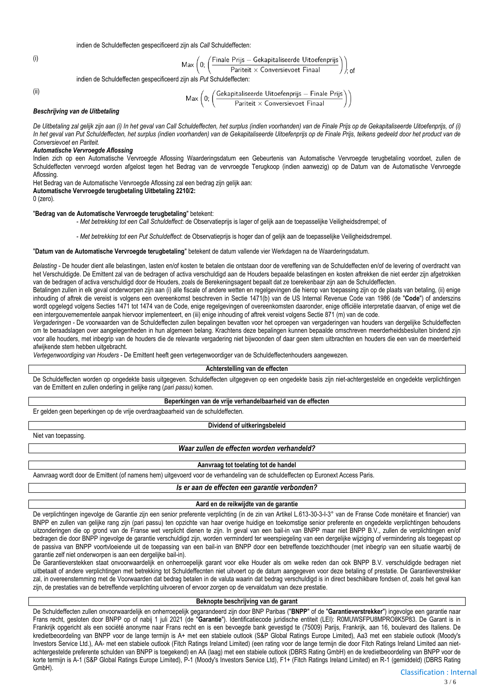indien de Schuldeffecten gespecificeerd zijn als *Call* Schuldeffecten:

(i)  $\mathsf{Max}\left(0;\left(\frac{\mathsf{Finale} \; \mathsf{Prijs} - \mathsf{Gekapitaliseerde \; \mathsf{Uitoefenprijs}}{\mathsf{Pariteit} \,\times \, \mathsf{Conversevoet \; \mathsf{Final}}}\right)\right)$ ; of

indien de Schuldeffecten gespecificeerd zijn als *Put* Schuldeffecten:

(ii)

$$
\mathsf{Max}\left(0;\left(\frac{\mathsf{Gekapitaliseerde Uitoefenprijs}-\mathsf{Finale Prijs}}{\mathsf{Pariteit}\times\mathsf{Conversevoet\,Final}}\right)\right)
$$

#### *Beschrijving van de Uitbetaling*

*De Uitbetaling zal gelijk zijn aan (i) In het geval van Call Schuldeffecten, het surplus (indien voorhanden) van de Finale Prijs op de Gekapitaliseerde Uitoefenprijs, of (i) In het geval van Put Schuldeffecten, het surplus (indien voorhanden) van de Gekapitaliseerde Uitoefenprijs op de Finale Prijs, telkens gedeeld door het product van de Conversievoet en Pariteit.*

#### *Automatische Vervroegde Aflossing*

Indien zich op een Automatische Vervroegde Aflossing Waarderingsdatum een Gebeurtenis van Automatische Vervroegde terugbetaling voordoet, zullen de Schuldeffecten vervroegd worden afgelost tegen het Bedrag van de vervroegde Terugkoop (indien aanwezig) op de Datum van de Automatische Vervroegde Aflossing.

Het Bedrag van de Automatische Vervroegde Aflossing zal een bedrag zijn gelijk aan:

**Automatische Vervroegde terugbetaling Uitbetaling 2210/2:**

0 (zero).

#### "**Bedrag van de Automatische Vervroegde terugbetaling**" betekent:

- *Met betrekking tot een Call Schuldeffect*: de Observatieprijs is lager of gelijk aan de toepasselijke Veiligheidsdrempel; of

- *Met betrekking tot een Put Schuldeffect*: de Observatieprijs is hoger dan of gelijk aan de toepasselijke Veiligheidsdrempel.

#### "**Datum van de Automatische Vervroegde terugbetaling**" betekent de datum vallende vier Werkdagen na de Waarderingsdatum.

*Belasting* - De houder dient alle belastingen, lasten en/of kosten te betalen die ontstaan door de vereffening van de Schuldeffecten en/of de levering of overdracht van het Verschuldigde. De Emittent zal van de bedragen of activa verschuldigd aan de Houders bepaalde belastingen en kosten aftrekken die niet eerder zijn afgetrokken van de bedragen of activa verschuldigd door de Houders, zoals de Berekeningsagent bepaalt dat ze toerekenbaar zijn aan de Schuldeffecten.

Betalingen zullen in elk geval onderworpen zijn aan (i) alle fiscale of andere wetten en regelgevingen die hierop van toepassing zijn op de plaats van betaling, (ii) enige inhouding of aftrek die vereist is volgens een overeenkomst beschreven in Sectie 1471(b) van de US Internal Revenue Code van 1986 (de "**Code**") of anderszins wordt opgelegd volgens Secties 1471 tot 1474 van de Code, enige regelgevingen of overeenkomsten daaronder, enige officiële interpretatie daarvan, of enige wet die een intergouvernementele aanpak hiervoor implementeert, en (iii) enige inhouding of aftrek vereist volgens Sectie 871 (m) van de code.

*Vergaderingen* - De voorwaarden van de Schuldeffecten zullen bepalingen bevatten voor het oproepen van vergaderingen van houders van dergelijke Schuldeffecten om te beraadslagen over aangelegenheden in hun algemeen belang. Krachtens deze bepalingen kunnen bepaalde omschreven meerderheidsbesluiten bindend zijn voor alle houders, met inbegrip van de houders die de relevante vergadering niet bijwoonden of daar geen stem uitbrachten en houders die een van de meerderheid afwijkende stem hebben uitgebracht.

*Vertegenwoordiging van Houders* - De Emittent heeft geen vertegenwoordiger van de Schuldeffectenhouders aangewezen.

#### **Achterstelling van de effecten**

De Schuldeffecten worden op ongedekte basis uitgegeven. Schuldeffecten uitgegeven op een ongedekte basis zijn niet-achtergestelde en ongedekte verplichtingen van de Emittent en zullen onderling in gelijke rang (*pari passu*) komen.

#### **Beperkingen van de vrije verhandelbaarheid van de effecten**

Er gelden geen beperkingen op de vrije overdraagbaarheid van de schuldeffecten.

#### **Dividend of uitkeringsbeleid**

Niet van toepassing.

#### *Waar zullen de effecten worden verhandeld?*

#### **Aanvraag tot toelating tot de handel**

Aanvraag wordt door de Emittent (of namens hem) uitgevoerd voor de verhandeling van de schuldeffecten op Euronext Access Paris.

*Is er aan de effecten een garantie verbonden?*

#### **Aard en de reikwijdte van de garantie**

De verplichtingen ingevolge de Garantie zijn een senior preferente verplichting (in de zin van Artikel L.613-30-3-I-3° van de Franse Code monétaire et financier) van BNPP en zullen van gelijke rang zijn (pari passu) ten opzichte van haar overige huidige en toekomstige senior preferente en ongedekte verplichtingen behoudens uitzonderingen die op grond van de Franse wet verplicht dienen te zijn. In geval van een bail-in van BNPP maar niet BNPP B.V., zullen de verplichtingen en/of bedragen die door BNPP ingevolge de garantie verschuldigd zijn, worden verminderd ter weerspiegeling van een dergelijke wijziging of vermindering als toegepast op de passiva van BNPP voortvloeiende uit de toepassing van een bail-in van BNPP door een betreffende toezichthouder (met inbegrip van een situatie waarbij de garantie zelf niet onderworpen is aan een dergelijke bail-in).

De Garantieverstekken staat onvoorwaardelijk en onherroepelijk garant voor elke Houder als om welke reden dan ook BNPP B.V. verschuldigde bedragen niet uitbetaalt of andere verplichtingen met betrekking tot Schuldeffecnten niet uitvoert op de datum aangegeven voor deze betaling of prestatie. De Garantieverstrekker zal, in overeenstemming met de Voorwaarden dat bedrag betalen in de valuta waarin dat bedrag verschuldigd is in direct beschikbare fondsen of, zoals het geval kan zijn, de prestaties van de betreffende verplichting uitvoeren of ervoor zorgen op de vervaldatum van deze prestatie.

#### **Beknopte beschrijving van de garant**

De Schuldeffecten zullen onvoorwaardelijk en onherroepelijk gegarandeerd zijn door BNP Paribas ("**BNPP**" of de "**Garantieverstrekker**") ingevolge een garantie naar Frans recht, gesloten door BNPP op of nabij 1 juli 2021 (de "**Garantie**"). Identificatiecode juridische entiteit (LEI): R0MUWSFPU8MPRO8K5P83. De Garant is in Frankrijk opgericht als een société anonyme naar Frans recht en is een bevoegde bank gevestigd te (75009) Parijs, Frankrijk, aan 16, boulevard des Italiens. De kredietbeoordeling van BNPP voor de lange termijn is A+ met een stabiele outlook (S&P Global Ratings Europe Limited), Aa3 met een stabiele outlook (Moody's Investors Service Ltd.), AA- met een stabiele outlook (Fitch Ratings Ireland Limited) (een rating voor de lange termijn die door Fitch Ratings Ireland Limited aan nietachtergestelde preferente schulden van BNPP is toegekend) en AA (laag) met een stabiele outlook (DBRS Rating GmbH) en de kredietbeoordeling van BNPP voor de korte termijn is A-1 (S&P Global Ratings Europe Limited), P-1 (Moody's Investors Service Ltd), F1+ (Fitch Ratings Ireland Limited) en R-1 (gemiddeld) (DBRS Rating GmbH).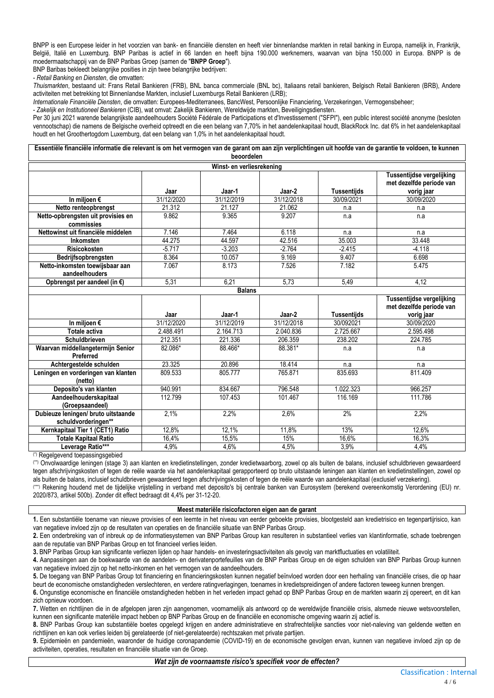BNPP is een Europese leider in het voorzien van bank- en financiële diensten en heeft vier binnenlandse markten in retail banking in Europa, namelijk in, Frankrijk, België, Italië en Luxemburg. BNP Paribas is actief in 66 landen en heeft bijna 190.000 werknemers, waarvan van bijna 150.000 in Europa. BNPP is de moedermaatschappij van de BNP Paribas Groep (samen de "**BNPP Groep**").

BNP Baribas bekleedt belangrijke posities in zijn twee belangrijke bedrijven:

- *Retail Banking en Diensten*, die omvatten:

*Thuismarkten*, bestaand uit: Frans Retail Bankieren (FRB), BNL banca commerciale (BNL bc), Italiaans retail bankieren, Belgisch Retail Bankieren (BRB), Andere activiteiten met betrekking tot Binnenlandse Markten, inclusief Luxemburgs Retail Bankieren (LRB);

*Internationale Financiële Diensten*, die omvatten: Europees-Mediterranees, BancWest, Persoonlijke Financiering, Verzekeringen, Vermogensbeheer;

- *Zakelijk en Institutioneel Bankieren* (CIB), wat omvat: Zakelijk Bankieren, Wereldwijde markten, Beveiligingsdiensten.

Per 30 juni 2021 warende belangrijkste aandeelhouders Société Fédérale de Participations et d'Investissement ("SFPI"), een public interest société anonyme (besloten vennootschap) die namens de Belgische overheid optreedt en die een belang van 7,70% in het aandelenkapitaal houdt, BlackRock Inc. dat 6% in het aandelenkapitaal houdt en het Groothertogdom Luxemburg, dat een belang van 1,0% in het aandelenkapitaal houdt.

**Essentiële financiële informatie die relevant is om het vermogen van de garant om aan zijn verplichtingen uit hoofde van de garantie te voldoen, te kunnen beoordelen**

| Winst- en verliesrekening              |            |            |            |             |                                                                     |  |  |  |  |
|----------------------------------------|------------|------------|------------|-------------|---------------------------------------------------------------------|--|--|--|--|
|                                        | Jaar       | Jaar-1     | Jaar-2     | Tussentiids | Tussentijdse vergelijking<br>met dezelfde periode van<br>vorig jaar |  |  |  |  |
| In miljoen $\epsilon$                  | 31/12/2020 | 31/12/2019 | 31/12/2018 | 30/09/2021  | 30/09/2020                                                          |  |  |  |  |
| Netto renteopbrengst                   | 21.312     | 21.127     | 21.062     | n.a         | n.a                                                                 |  |  |  |  |
| Netto-opbrengsten uit provisies en     | 9.862      | 9.365      | 9.207      | n.a         | n.a                                                                 |  |  |  |  |
| commissies                             |            |            |            |             |                                                                     |  |  |  |  |
| Nettowinst uit financiële middelen     | 7.146      | 7.464      | 6.118      | n.a         | n.a                                                                 |  |  |  |  |
| Inkomsten                              | 44.275     | 44.597     | 42.516     | 35.003      | 33.448                                                              |  |  |  |  |
| <b>Risicokosten</b>                    | $-5.717$   | $-3.203$   | $-2.764$   | $-2.415$    | $-4.118$                                                            |  |  |  |  |
| Bedrijfsopbrengsten                    | 8.364      | 10.057     | 9.169      | 9.407       | 6.698                                                               |  |  |  |  |
| Netto-inkomsten toewijsbaar aan        | 7.067      | 8.173      | 7.526      | 7.182       | 5.475                                                               |  |  |  |  |
| aandeelhouders                         |            |            |            |             |                                                                     |  |  |  |  |
| Opbrengst per aandeel (in $\epsilon$ ) | 5,31       | 6,21       | 5,73       | 5,49        | 4.12                                                                |  |  |  |  |
| <b>Dalane</b>                          |            |            |            |             |                                                                     |  |  |  |  |

|                                     |            | раннэ      |            |             |                                                       |
|-------------------------------------|------------|------------|------------|-------------|-------------------------------------------------------|
|                                     |            |            |            |             | Tussentijdse vergelijking<br>met dezelfde periode van |
|                                     | Jaar       | Jaar-1     | Jaar-2     | Tussentiids | vorig jaar                                            |
| In miljoen €                        | 31/12/2020 | 31/12/2019 | 31/12/2018 | 30/092021   | 30/09/2020                                            |
| Totale activa                       | 2.488.491  | 2.164.713  | 2.040.836  | 2.725.667   | 2.595.498                                             |
| <b>Schuldbrieven</b>                | 212.351    | 221.336    | 206.359    | 238.202     | 224.785                                               |
| Waarvan middellangetermijn Senior   | 82.086*    | 88.466*    | 88.381*    | n.a         | n.a                                                   |
| Preferred                           |            |            |            |             |                                                       |
| Achtergestelde schulden             | 23.325     | 20.896     | 18.414     | n.a         | n.a                                                   |
| Leningen en vorderingen van klanten | 809.533    | 805.777    | 765.871    | 835.693     | 811.409                                               |
| (netto)                             |            |            |            |             |                                                       |
| Deposito's van klanten              | 940.991    | 834.667    | 796.548    | 1.022.323   | 966.257                                               |
| Aandeelhouderskapitaal              | 112.799    | 107.453    | 101.467    | 116.169     | 111.786                                               |
| (Groepsaandeel)                     |            |            |            |             |                                                       |
| Dubieuze leningen/ bruto uitstaande | 2.1%       | 2,2%       | 2,6%       | 2%          | 2,2%                                                  |
| schuldvorderingen**                 |            |            |            |             |                                                       |
| Kernkapitaal Tier 1 (CET1) Ratio    | 12,8%      | 12,1%      | 11,8%      | 13%         | 12,6%                                                 |
| <b>Totale Kapitaal Ratio</b>        | 16,4%      | 15,5%      | 15%        | 16,6%       | 16,3%                                                 |
| Leverage Ratio***                   | 4,9%       | 4,6%       | 4,5%       | 3,9%        | 4,4%                                                  |

(\*) Regelgevend toepassingsgebied

(\*\*) Onvolwaardige leningen (stage 3) aan klanten en kredietinstellingen, zonder kredietwaarborg, zowel op als buiten de balans, inclusief schuldbrieven gewaardeerd tegen afschrijvingskosten of tegen de reële waarde via het aandelenkapitaal gerapporteerd op bruto uitstaande leningen aan klanten en kredietinstellingen, zowel op als buiten de balans, inclusief schuldbrieven gewaardeerd tegen afschrijvingskosten of tegen de reële waarde van aandelenkapitaal (exclusief verzekering).

(\*\*\*) Rekening houdend met de tijdelijke vrijstelling in verband met deposito's bij centrale banken van Eurosystem (berekend overeenkomstig Verordening (EU) nr. 2020/873, artikel 500b). Zonder dit effect bedraagt dit 4,4% per 31-12-20.

#### **Meest materiële risicofactoren eigen aan de garant**

**1.** Een substantiële toename van nieuwe provisies of een leemte in het niveau van eerder geboekte provisies, blootgesteld aan kredietrisico en tegenpartijrisico, kan van negatieve invloed zijn op de resultaten van operaties en de financiële situatie van BNP Paribas Group.

**2.** Een onderbreking van of inbreuk op de informatiesystemen van BNP Paribas Group kan resulteren in substantieel verlies van klantinformatie, schade toebrengen aan de reputatie van BNP Paribas Group en tot financieel verlies leiden.

**3.** BNP Paribas Group kan significante verliezen lijden op haar handels- en investeringsactiviteiten als gevolg van marktfluctuaties en volatiliteit.

**4.** Aanpassingen aan de boekwaarde van de aandelen- en derivatenportefeuilles van de BNP Paribas Group en de eigen schulden van BNP Paribas Group kunnen van negatieve invloed zijn op het netto-inkomen en het vermogen van de aandeelhouders.

**5.** De toegang van BNP Paribas Group tot financiering en financieringskosten kunnen negatief beïnvloed worden door een herhaling van financiële crises, die op haar beurt de economische omstandigheden verslechteren, en verdere ratingverlagingen, toenames in kredietspreidingen of andere factoren teweeg kunnen brengen.

**6.** Ongunstige economische en financiële omstandigheden hebben in het verleden impact gehad op BNP Paribas Group en de markten waarin zij opereert, en dit kan zich opnieuw voordoen.

**7.** Wetten en richtlijnen die in de afgelopen jaren zijn aangenomen, voornamelijk als antwoord op de wereldwijde financiële crisis, alsmede nieuwe wetsvoorstellen, kunnen een significante materiële impact hebben op BNP Paribas Group en de financiële en economische omgeving waarin zij actief is.

**8.** BNP Paribas Group kan substantiële boetes opgelegd krijgen en andere administratieve en strafrechtelijke sancties voor niet-naleving van geldende wetten en richtlijnen en kan ook verlies leiden bij gerelateerde (of niet-gerelateerde) rechtszaken met private partijen.

**9.** Epidemieën en pandemieën, waaronder de huidige coronapandemie (COVID-19) en de economische gevolgen ervan, kunnen van negatieve invloed zijn op de activiteiten, operaties, resultaten en financiële situatie van de Groep.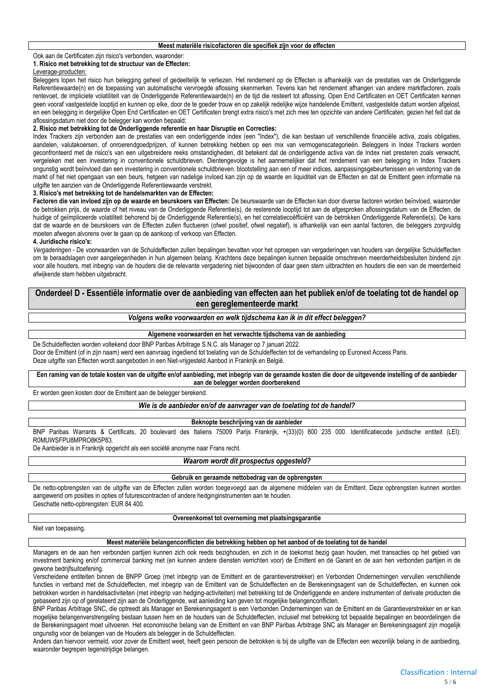### Ook aan de Certificaten zijn risico's verbonden, waaronder:

#### **1. Risico met betrekking tot de structuur van de Effecten:**

#### Leverage-producten:

Beleggers lopen het risico hun belegging geheel of gedeeltelijk te verliezen. Het rendement op de Effecten is afhankelijk van de prestaties van de Onderliggende Referentiewaarde(n) en de toepassing van automatische vervroegde aflossing skenmerken. Tevens kan het rendement afhangen van andere marktfactoren, zoals rentevoet, de impliciete volatiliteit van de Onderliggende Referentiewaarde(n) en de tijd die resteert tot aflossing. Open End Certificaten en OET Certificaten kennen geen vooraf vastgestelde looptijd en kunnen op elke, door de te goeder trouw en op zakelijk redelijke wijze handelende Emittent, vastgestelde datum worden afgelost, en een belegging in dergelijke Open End Certificaten en OET Certificaten brengt extra risico's met zich mee ten opzichte van andere Certificaten, gezien het feit dat de aflossingsdatum niet door de belegger kan worden bepaald;

#### **2. Risico met betrekking tot de Onderliggende referentie en haar Disruptie en Correcties:**

Index Trackers zijn verbonden aan de prestaties van een onderliggende index (een "Index"), die kan bestaan uit verschillende financiële activa, zoals obligaties, aandelen, valutakoersen, of onroerendgoedprijzen, of kunnen betrekking hebben op een mix van vermogenscategorieën. Beleggers in Index Trackers worden geconfronteerd met de risico's van een uitgebreidere reeks omstandigheden, dit betekent dat de onderliggende activa van de Index niet presteren zoals verwacht, vergeleken met een investering in conventionele schuldbrieven. Dientengevolge is het aannemelijker dat het rendement van een belegging in Index Trackers ongunstig wordt beïnvloed dan een investering in conventionele schuldbrieven: blootstelling aan een of meer indices, aanpassingsgebeurtenissen en verstoring van de markt of het niet opengaan van een beurs, hetgeen van nadelige invloed kan zijn op de waarde en liquiditeit van de Effecten en dat de Emittent geen informatie na uitgifte ten aanzien van de Onderliggende Referentiewaarde verstrekt.

#### **3. Risico's met betrekking tot de handelsmarkten van de Effecten:**

**Factoren die van invloed zijn op de waarde en beurskoers van Effecten:** De beurswaarde van de Effecten kan door diverse factoren worden beïnvloed, waaronder de betrokken prijs, de waarde of het niveau van de Onderliggende Referentie(s), de resterende looptijd tot aan de afgesproken aflossingsdatum van de Effecten, de huidige of geïmpliceerde volatiliteit behorend bij de Onderliggende Referentie(s), en het correlatiecoëfficiënt van de betrokken Onderliggende Referentie(s). De kans dat de waarde en de beurskoers van de Effecten zullen fluctueren (ofwel positief, ofwel negatief), is afhankelijk van een aantal factoren, die beleggers zorgvuldig moeten afwegen alvorens over te gaan op de aankoop of verkoop van Effecten.

#### **4. Juridische risico's:**

*Vergaderingen* - De voorwaarden van de Schuldeffecten zullen bepalingen bevatten voor het oproepen van vergaderingen van houders van dergelijke Schuldeffecten om te beraadslagen over aangelegenheden in hun algemeen belang. Krachtens deze bepalingen kunnen bepaalde omschreven meerderheidsbesluiten bindend zijn voor alle houders, met inbegrip van de houders die de relevante vergadering niet bijwoonden of daar geen stem uitbrachten en houders die een van de meerderheid afwijkende stem hebben uitgebracht.

**Onderdeel D - Essentiële informatie over de aanbieding van effecten aan het publiek en/of de toelating tot de handel op een gereglementeerde markt**

*Volgens welke voorwaarden en welk tijdschema kan ik in dit effect beleggen?*

**Algemene voorwaarden en het verwachte tijdschema van de aanbieding**

De Schuldeffecten worden voltekend door BNP Paribas Arbitrage S.N.C. als Manager op 7 januari 2022. Door de Emittent (of in zijn naam) werd een aanvraag ingediend tot toelating van de Schuldeffecten tot de verhandeling op Euronext Access Paris. Deze uitgifte van Effecten wordt aangeboden in een Niet-vrijgesteld Aanbod in Frankrijk en België.

**Een raming van de totale kosten van de uitgifte en/of aanbieding, met inbegrip van de geraamde kosten die door de uitgevende instelling of de aanbieder aan de belegger worden doorberekend**

Er worden geen kosten door de Emittent aan de belegger berekend.

*Wie is de aanbieder en/of de aanvrager van de toelating tot de handel?*

**Beknopte beschrijving van de aanbieder**

BNP Paribas Warrants & Certificats, 20 boulevard des Italiens 75009 Parijs Frankrijk, +(33)(0) 800 235 000. Identificatiecode juridische entiteit (LEI): R0MUWSFPU8MPRO8K5P83.

De Aanbieder is in Frankrijk opgericht als een société anonyme naar Frans recht.

#### *Waarom wordt dit prospectus opgesteld?*

#### **Gebruik en geraamde nettobedrag van de opbrengsten**

De netto-opbrengsten van de uitgifte van de Effecten zullen worden toegevoegd aan de algemene middelen van de Emittent. Deze opbrengsten kunnen worden aangewend om posities in opties of futurescontracten of andere hedginginstrumenten aan te houden. Geschatte netto-opbrengsten: EUR 84.400.

**Overeenkomst tot overneming met plaatsingsgarantie**

#### Niet van toepassing.

#### **Meest materiële belangenconflicten die betrekking hebben op het aanbod of de toelating tot de handel**

Managers en de aan hen verbonden partijen kunnen zich ook reeds bezighouden, en zich in de toekomst bezig gaan houden, met transacties op het gebied van investment banking en/of commercial banking met (en kunnen andere diensten verrichten voor) de Emittent en de Garant en de aan hen verbonden partijen in de gewone bedrijfsuitoefening.

Verscheidene entiteiten binnen de BNPP Groep (met inbegrip van de Emittent en de garantieverstrekker) en Verbonden Ondernemingen vervullen verschillende functies in verband met de Schuldeffecten, met inbegrip van de Emittent van de Schuldeffecten en de Berekeningsagent van de Schuldeffecten, en kunnen ook betrokken worden in handelsactiviteiten (met inbegrip van hedging-activiteiten) met betrekking tot de Onderliggende en andere instrumenten of derivate producten die gebaseerd zijn op of gerelateerd zijn aan de Onderliggende, wat aanleiding kan geven tot mogelijke belangenconflicten.

BNP Paribas Arbitrage SNC, die optreedt als Manager en Berekeningsagent is een Verbonden Ondernemingen van de Emittent en de Garantieverstrekker en er kan mogelijke belangenverstrengeling bestaan tussen hem en de houders van de Schuldeffecten, inclusief met betrekking tot bepaalde bepalingen en beoordelingen die de Berekeningsagent moet uitvoeren. Het economische belang van de Emittent en van BNP Paribas Arbitrage SNC als Manager en Berekeningsagent zijn mogelijk ongunstig voor de belangen van de Houders als belegger in de Schuldeffecten.

Anders dan hiervoor vermeld, voor zover de Emittent weet, heeft geen persoon die betrokken is bij de uitgifte van de Effecten een wezenlijk belang in de aanbieding, waaronder begrepen tegenstrijdige belangen.